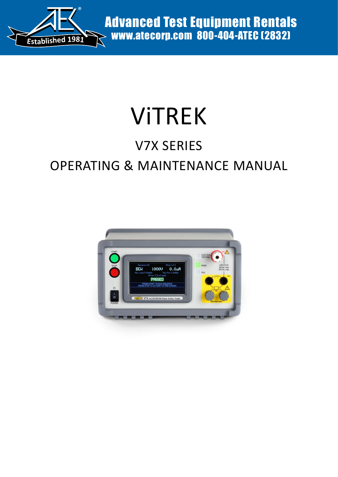

Advanced Test Equipment Rentals www.atecorp.com 800-404-ATEC (2832)

# ViTREK

## V7X SERIES

## OPERATING & MAINTENANCE MANUAL

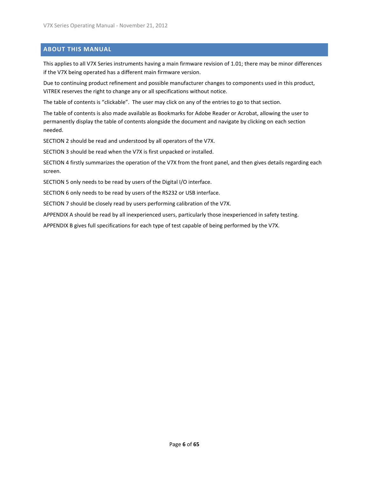#### <span id="page-5-0"></span>**ABOUT THIS MANUAL**

This applies to all V7X Series instruments having a main firmware revision of 1.01; there may be minor differences if the V7X being operated has a different main firmware version.

Due to continuing product refinement and possible manufacturer changes to components used in this product, ViTREK reserves the right to change any or all specifications without notice.

The table of contents is "clickable". The user may click on any of the entries to go to that section.

The table of contents is also made available as Bookmarks for Adobe Reader or Acrobat, allowing the user to permanently display the table of contents alongside the document and navigate by clicking on each section needed.

SECTION 2 should be read and understood by all operators of the V7X.

SECTION 3 should be read when the V7X is first unpacked or installed.

SECTION 4 firstly summarizes the operation of the V7X from the front panel, and then gives details regarding each screen.

SECTION 5 only needs to be read by users of the Digital I/O interface.

SECTION 6 only needs to be read by users of the RS232 or USB interface.

SECTION 7 should be closely read by users performing calibration of the V7X.

APPENDIX A should be read by all inexperienced users, particularly those inexperienced in safety testing.

APPENDIX B gives full specifications for each type of test capable of being performed by the V7X.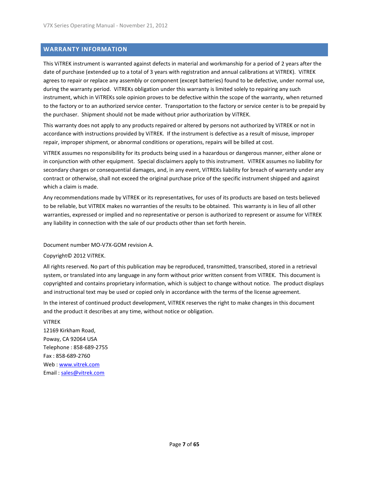#### <span id="page-6-0"></span>**WARRANTY INFORMATION**

This ViTREK instrument is warranted against defects in material and workmanship for a period of 2 years after the date of purchase (extended up to a total of 3 years with registration and annual calibrations at ViTREK). ViTREK agrees to repair or replace any assembly or component (except batteries) found to be defective, under normal use, during the warranty period. ViTREKs obligation under this warranty is limited solely to repairing any such instrument, which in ViTREKs sole opinion proves to be defective within the scope of the warranty, when returned to the factory or to an authorized service center. Transportation to the factory or service center is to be prepaid by the purchaser. Shipment should not be made without prior authorization by ViTREK.

This warranty does not apply to any products repaired or altered by persons not authorized by ViTREK or not in accordance with instructions provided by ViTREK. If the instrument is defective as a result of misuse, improper repair, improper shipment, or abnormal conditions or operations, repairs will be billed at cost.

ViTREK assumes no responsibility for its products being used in a hazardous or dangerous manner, either alone or in conjunction with other equipment. Special disclaimers apply to this instrument. ViTREK assumes no liability for secondary charges or consequential damages, and, in any event, ViTREKs liability for breach of warranty under any contract or otherwise, shall not exceed the original purchase price of the specific instrument shipped and against which a claim is made.

Any recommendations made by ViTREK or its representatives, for uses of its products are based on tests believed to be reliable, but ViTREK makes no warranties of the results to be obtained. This warranty is in lieu of all other warranties, expressed or implied and no representative or person is authorized to represent or assume for ViTREK any liability in connection with the sale of our products other than set forth herein.

Document number MO-V7X-GOM revision A.

Copyright© 2012 ViTREK.

All rights reserved. No part of this publication may be reproduced, transmitted, transcribed, stored in a retrieval system, or translated into any language in any form without prior written consent from ViTREK. This document is copyrighted and contains proprietary information, which is subject to change without notice. The product displays and instructional text may be used or copied only in accordance with the terms of the license agreement.

In the interest of continued product development, ViTREK reserves the right to make changes in this document and the product it describes at any time, without notice or obligation.

ViTREK 12169 Kirkham Road, Poway, CA 92064 USA Telephone : 858-689-2755 Fax : 858-689-2760 Web : www.vitrek.com Email : sales@vitrek.com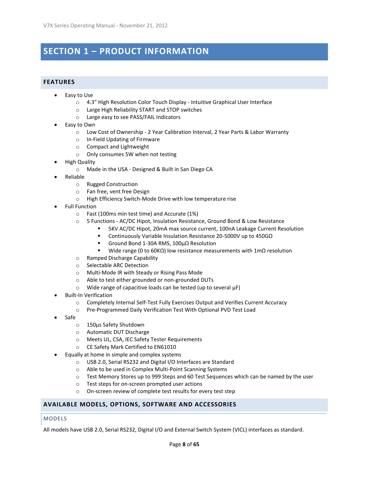## <span id="page-7-0"></span>**SECTION 1 – PRODUCT INFORMATION**

#### <span id="page-7-1"></span>**FEATURES**

- Easy to Use
	- o 4.3" High Resolution Color Touch Display Intuitive Graphical User Interface
	- o Large High Reliability START and STOP switches
	- o Large easy to see PASS/FAIL Indicators
- Easy to Own
	- o Low Cost of Ownership 2 Year Calibration Interval, 2 Year Parts & Labor Warranty
	- o In-Field Updating of Firmware
	- o Compact and Lightweight
	- o Only consumes 5W when not testing
- High Quality
	- o Made in the USA Designed & Built in San Diego CA
- Reliable
	- o Rugged Construction
	- o Fan free, vent free Design
	- o High Efficiency Switch-Mode Drive with low temperature rise
- Full Function
	- o Fast (100ms min test time) and Accurate (1%)
	- o 5 Functions AC/DC Hipot, Insulation Resistance, Ground Bond & Low Resistance
		- 5KV AC/DC Hipot, 20mA max source current, 100nA Leakage Current Resolution
		- Continuously Variable Insulation Resistance 20-5000V up to 450GΩ
		- Ground Bond 1-30A RMS, 100µΩ Resolution
		- Wide range (0 to 60KΩ) low resistance measurements with  $1mΩ$  resolution
	- o Ramped Discharge Capability
	- o Selectable ARC Detection
	- o Multi-Mode IR with Steady or Rising Pass Mode
	- o Able to test either grounded or non-grounded DUTs
	- $\circ$  Wide range of capacitive loads can be tested (up to several  $\mu$ F)
- Built-In Verification
	- o Completely Internal Self-Test Fully Exercises Output and Verifies Current Accuracy
	- o Pre-Programmed Daily Verification Test With Optional PVD Test Load
- Safe
	- o 150µs Safety Shutdown
	- o Automatic DUT Discharge
	- o Meets UL, CSA, IEC Safety Tester Requirements
	- o CE Safety Mark Certified to EN61010
- Equally at home in simple and complex systems
	- o USB 2.0, Serial RS232 and Digital I/O Interfaces are Standard
	- o Able to be used in Complex Multi-Point Scanning Systems
	- $\circ$  Test Memory Stores up to 999 Steps and 60 Test Sequences which can be named by the user
	- o Test steps for on-screen prompted user actions
	- o On-screen review of complete test results for every test step

#### <span id="page-7-2"></span>**AVAILABLE MODELS, OPTIONS, SOFTWARE AND ACCESSORIES**

#### <span id="page-7-3"></span>MODELS

All models have USB 2.0, Serial RS232, Digital I/O and External Switch System (VICL) interfaces as standard.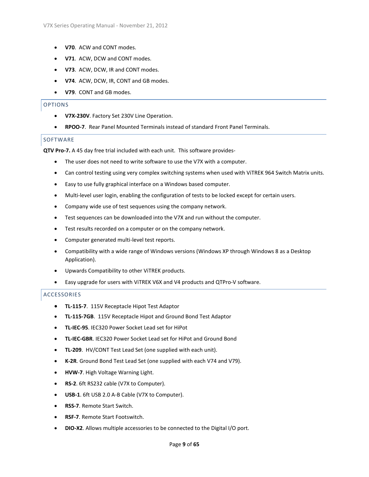- **V70**. ACW and CONT modes.
- **V71**. ACW, DCW and CONT modes.
- **V73**. ACW, DCW, IR and CONT modes.
- **V74**. ACW, DCW, IR, CONT and GB modes.
- **V79**. CONT and GB modes.

#### <span id="page-8-0"></span>OPTIONS

- **V7X-230V**. Factory Set 230V Line Operation.
- **RPOO-7**. Rear Panel Mounted Terminals instead of standard Front Panel Terminals.

#### SOFTWARE

**QTV Pro-7.** A 45 day free trial included with each unit. This software provides-

- The user does not need to write software to use the V7X with a computer.
- Can control testing using very complex switching systems when used with ViTREK 964 Switch Matrix units.
- Easy to use fully graphical interface on a Windows based computer.
- Multi-level user login, enabling the configuration of tests to be locked except for certain users.
- Company wide use of test sequences using the company network.
- Test sequences can be downloaded into the V7X and run without the computer.
- Test results recorded on a computer or on the company network.
- Computer generated multi-level test reports.
- Compatibility with a wide range of Windows versions (Windows XP through Windows 8 as a Desktop Application).
- Upwards Compatibility to other ViTREK products.
- Easy upgrade for users with ViTREK V6X and V4 products and QTPro-V software.

#### <span id="page-8-1"></span>**ACCESSORIES**

- **TL-115-7**. 115V Receptacle Hipot Test Adaptor
- **TL-115-7GB**. 115V Receptacle Hipot and Ground Bond Test Adaptor
- **TL-IEC-95**. IEC320 Power Socket Lead set for HiPot
- **TL-IEC-GBR**. IEC320 Power Socket Lead set for HiPot and Ground Bond
- **TL-209**. HV/CONT Test Lead Set (one supplied with each unit).
- **K-2R**. Ground Bond Test Lead Set (one supplied with each V74 and V79).
- **HVW-7**. High Voltage Warning Light.
- **RS-2**. 6ft RS232 cable (V7X to Computer).
- **USB-1**. 6ft USB 2.0 A-B Cable (V7X to Computer).
- **RSS-7**. Remote Start Switch.
- **RSF-7**. Remote Start Footswitch.
- **DIO-X2**. Allows multiple accessories to be connected to the Digital I/O port.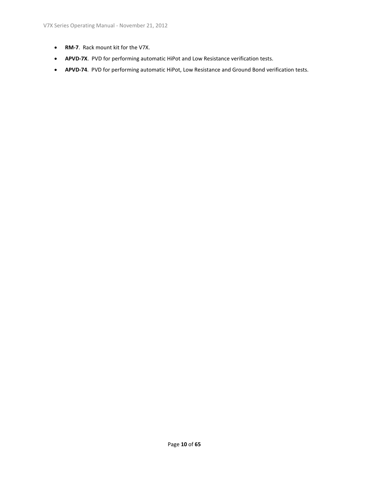- **RM-7**. Rack mount kit for the V7X.
- **APVD-7X**. PVD for performing automatic HiPot and Low Resistance verification tests.
- **APVD-74**. PVD for performing automatic HiPot, Low Resistance and Ground Bond verification tests.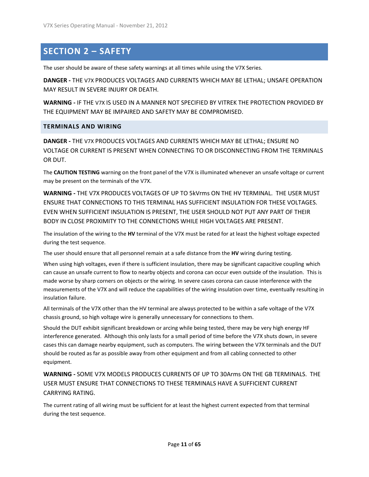## <span id="page-10-0"></span>**SECTION 2 – SAFETY**

The user should be aware of these safety warnings at all times while using the V7X Series.

**DANGER -** THE V7X PRODUCES VOLTAGES AND CURRENTS WHICH MAY BE LETHAL; UNSAFE OPERATION MAY RESULT IN SEVERE INJURY OR DEATH.

**WARNING -** IF THE V7X IS USED IN A MANNER NOT SPECIFIED BY VITREK THE PROTECTION PROVIDED BY THE EQUIPMENT MAY BE IMPAIRED AND SAFETY MAY BE COMPROMISED.

#### <span id="page-10-1"></span>**TERMINALS AND WIRING**

**DANGER -** THE V7X PRODUCES VOLTAGES AND CURRENTS WHICH MAY BE LETHAL; ENSURE NO VOLTAGE OR CURRENT IS PRESENT WHEN CONNECTING TO OR DISCONNECTING FROM THE TERMINALS OR DUT.

The **CAUTION TESTING** warning on the front panel of the V7X is illuminated whenever an unsafe voltage or current may be present on the terminals of the V7X.

**WARNING -** THE V7X PRODUCES VOLTAGES OF UP TO 5kVrms ON THE HV TERMINAL. THE USER MUST ENSURE THAT CONNECTIONS TO THIS TERMINAL HAS SUFFICIENT INSULATION FOR THESE VOLTAGES. EVEN WHEN SUFFICIENT INSULATION IS PRESENT, THE USER SHOULD NOT PUT ANY PART OF THEIR BODY IN CLOSE PROXIMITY TO THE CONNECTIONS WHILE HIGH VOLTAGES ARE PRESENT.

The insulation of the wiring to the **HV** terminal of the V7X must be rated for at least the highest voltage expected during the test sequence.

The user should ensure that all personnel remain at a safe distance from the **HV** wiring during testing.

When using high voltages, even if there is sufficient insulation, there may be significant capacitive coupling which can cause an unsafe current to flow to nearby objects and corona can occur even outside of the insulation. This is made worse by sharp corners on objects or the wiring. In severe cases corona can cause interference with the measurements of the V7X and will reduce the capabilities of the wiring insulation over time, eventually resulting in insulation failure.

All terminals of the V7X other than the HV terminal are always protected to be within a safe voltage of the V7X chassis ground, so high voltage wire is generally unnecessary for connections to them.

Should the DUT exhibit significant breakdown or arcing while being tested, there may be very high energy HF interference generated. Although this only lasts for a small period of time before the V7X shuts down, in severe cases this can damage nearby equipment, such as computers. The wiring between the V7X terminals and the DUT should be routed as far as possible away from other equipment and from all cabling connected to other equipment.

**WARNING -** SOME V7X MODELS PRODUCES CURRENTS OF UP TO 30Arms ON THE GB TERMINALS. THE USER MUST ENSURE THAT CONNECTIONS TO THESE TERMINALS HAVE A SUFFICIENT CURRENT CARRYING RATING.

The current rating of all wiring must be sufficient for at least the highest current expected from that terminal during the test sequence.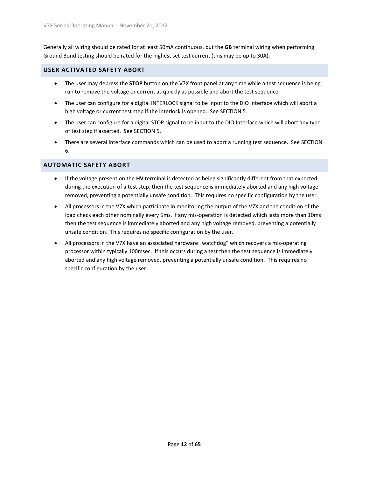Generally all wiring should be rated for at least 50mA continuous, but the **GB** terminal wiring when performing Ground Bond testing should be rated for the highest set test current (this may be up to 30A).

#### <span id="page-11-0"></span>**USER ACTIVATED SAFETY ABORT**

- The user may depress the **STOP** button on the V7X front panel at any time while a test sequence is being run to remove the voltage or current as quickly as possible and abort the test sequence.
- The user can configure for a digital INTERLOCK signal to be input to the DIO Interface which will abort a high voltage or current test step if the interlock is opened. See SECTION 5.
- The user can configure for a digital STOP signal to be input to the DIO Interface which will abort any type of test step if asserted. See SECTION 5.
- There are several interface commands which can be used to abort a running test sequence. See SECTION 6.

#### <span id="page-11-1"></span>**AUTOMATIC SAFETY ABORT**

- If the voltage present on the **HV** terminal is detected as being significantly different from that expected during the execution of a test step, then the test sequence is immediately aborted and any high voltage removed, preventing a potentially unsafe condition. This requires no specific configuration by the user.
- All processors in the V7X which participate in monitoring the output of the V7X and the condition of the load check each other nominally every 5ms, if any mis-operation is detected which lasts more than 10ms then the test sequence is immediately aborted and any high voltage removed, preventing a potentially unsafe condition. This requires no specific configuration by the user.
- All processors in the V7X have an associated hardware "watchdog" which recovers a mis-operating processor within typically 100msec. If this occurs during a test then the test sequence is immediately aborted and any high voltage removed, preventing a potentially unsafe condition. This requires no specific configuration by the user.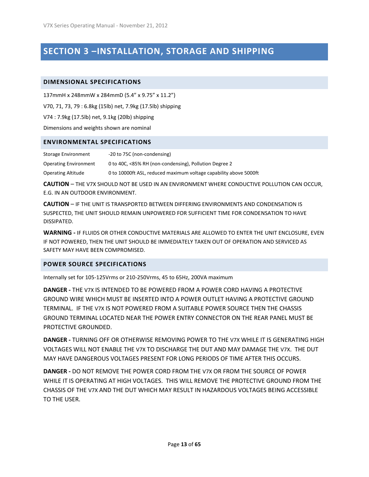## <span id="page-12-0"></span>**SECTION 3 –INSTALLATION, STORAGE AND SHIPPING**

#### <span id="page-12-1"></span>**DIMENSIONAL SPECIFICATIONS**

137mmH x 248mmW x 284mmD (5.4" x 9.75" x 11.2")

V70, 71, 73, 79 : 6.8kg (15lb) net, 7.9kg (17.5lb) shipping

V74 : 7.9kg (17.5lb) net, 9.1kg (20lb) shipping

Dimensions and weights shown are nominal

#### <span id="page-12-2"></span>**ENVIRONMENTAL SPECIFICATIONS**

Storage Environment -20 to 75C (non-condensing) Operating Environment 0 to 40C, <85% RH (non-condensing), Pollution Degree 2 Operating Altitude 0 to 10000ft ASL, reduced maximum voltage capability above 5000ft

**CAUTION** – THE V7X SHOULD NOT BE USED IN AN ENVIRONMENT WHERE CONDUCTIVE POLLUTION CAN OCCUR, E.G. IN AN OUTDOOR ENVIRONMENT.

**CAUTION** – IF THE UNIT IS TRANSPORTED BETWEEN DIFFERING ENVIRONMENTS AND CONDENSATION IS SUSPECTED, THE UNIT SHOULD REMAIN UNPOWERED FOR SUFFICIENT TIME FOR CONDENSATION TO HAVE DISSIPATED.

**WARNING -** IF FLUIDS OR OTHER CONDUCTIVE MATERIALS ARE ALLOWED TO ENTER THE UNIT ENCLOSURE, EVEN IF NOT POWERED, THEN THE UNIT SHOULD BE IMMEDIATELY TAKEN OUT OF OPERATION AND SERVICED AS SAFETY MAY HAVE BEEN COMPROMISED.

#### <span id="page-12-3"></span>**POWER SOURCE SPECIFICATIONS**

Internally set for 105-125Vrms or 210-250Vrms, 45 to 65Hz, 200VA maximum

**DANGER -** THE V7X IS INTENDED TO BE POWERED FROM A POWER CORD HAVING A PROTECTIVE GROUND WIRE WHICH MUST BE INSERTED INTO A POWER OUTLET HAVING A PROTECTIVE GROUND TERMINAL. IF THE V7X IS NOT POWERED FROM A SUITABLE POWER SOURCE THEN THE CHASSIS GROUND TERMINAL LOCATED NEAR THE POWER ENTRY CONNECTOR ON THE REAR PANEL MUST BE PROTECTIVE GROUNDED.

**DANGER -** TURNING OFF OR OTHERWISE REMOVING POWER TO THE V7X WHILE IT IS GENERATING HIGH VOLTAGES WILL NOT ENABLE THE V7X TO DISCHARGE THE DUT AND MAY DAMAGE THE V7X. THE DUT MAY HAVE DANGEROUS VOLTAGES PRESENT FOR LONG PERIODS OF TIME AFTER THIS OCCURS.

**DANGER -** DO NOT REMOVE THE POWER CORD FROM THE V7X OR FROM THE SOURCE OF POWER WHILE IT IS OPERATING AT HIGH VOLTAGES. THIS WILL REMOVE THE PROTECTIVE GROUND FROM THE CHASSIS OF THE V7X AND THE DUT WHICH MAY RESULT IN HAZARDOUS VOLTAGES BEING ACCESSIBLE TO THE USER.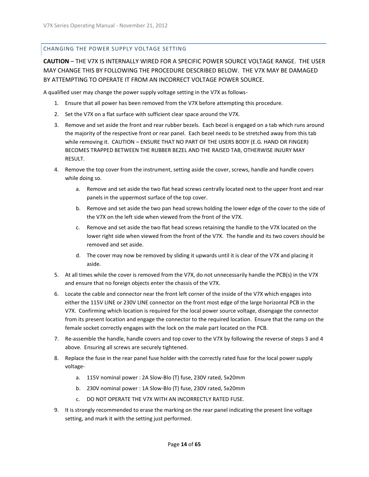#### <span id="page-13-0"></span>CHANGING THE POWER SUPPLY VOLTAGE SETTING

**CAUTION** – THE V7X IS INTERNALLY WIRED FOR A SPECIFIC POWER SOURCE VOLTAGE RANGE. THE USER MAY CHANGE THIS BY FOLLOWING THE PROCEDURE DESCRIBED BELOW. THE V7X MAY BE DAMAGED BY ATTEMPTING TO OPERATE IT FROM AN INCORRECT VOLTAGE POWER SOURCE.

A qualified user may change the power supply voltage setting in the V7X as follows-

- 1. Ensure that all power has been removed from the V7X before attempting this procedure.
- 2. Set the V7X on a flat surface with sufficient clear space around the V7X.
- 3. Remove and set aside the front and rear rubber bezels. Each bezel is engaged on a tab which runs around the majority of the respective front or rear panel. Each bezel needs to be stretched away from this tab while removing it. CAUTION – ENSURE THAT NO PART OF THE USERS BODY (E.G. HAND OR FINGER) BECOMES TRAPPED BETWEEN THE RUBBER BEZEL AND THE RAISED TAB, OTHERWISE INJURY MAY RESULT.
- 4. Remove the top cover from the instrument, setting aside the cover, screws, handle and handle covers while doing so.
	- a. Remove and set aside the two flat head screws centrally located next to the upper front and rear panels in the uppermost surface of the top cover.
	- b. Remove and set aside the two pan head screws holding the lower edge of the cover to the side of the V7X on the left side when viewed from the front of the V7X.
	- c. Remove and set aside the two flat head screws retaining the handle to the V7X located on the lower right side when viewed from the front of the V7X. The handle and its two covers should be removed and set aside.
	- d. The cover may now be removed by sliding it upwards until it is clear of the V7X and placing it aside.
- 5. At all times while the cover is removed from the V7X, do not unnecessarily handle the PCB(s) in the V7X and ensure that no foreign objects enter the chassis of the V7X.
- 6. Locate the cable and connector near the front left corner of the inside of the V7X which engages into either the 115V LINE or 230V LINE connector on the front most edge of the large horizontal PCB in the V7X. Confirming which location is required for the local power source voltage, disengage the connector from its present location and engage the connector to the required location. Ensure that the ramp on the female socket correctly engages with the lock on the male part located on the PCB.
- 7. Re-assemble the handle, handle covers and top cover to the V7X by following the reverse of steps 3 and 4 above. Ensuring all screws are securely tightened.
- 8. Replace the fuse in the rear panel fuse holder with the correctly rated fuse for the local power supply voltage
	- a. 115V nominal power : 2A Slow-Blo (T) fuse, 230V rated, 5x20mm
	- b. 230V nominal power : 1A Slow-Blo (T) fuse, 230V rated, 5x20mm
	- c. DO NOT OPERATE THE V7X WITH AN INCORRECTLY RATED FUSE.
- 9. It is strongly recommended to erase the marking on the rear panel indicating the present line voltage setting, and mark it with the setting just performed.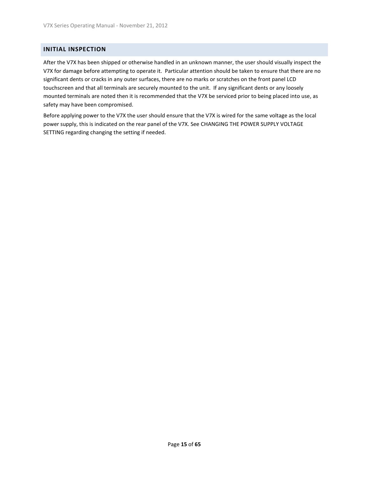#### <span id="page-14-0"></span>**INITIAL INSPECTION**

After the V7X has been shipped or otherwise handled in an unknown manner, the user should visually inspect the V7X for damage before attempting to operate it. Particular attention should be taken to ensure that there are no significant dents or cracks in any outer surfaces, there are no marks or scratches on the front panel LCD touchscreen and that all terminals are securely mounted to the unit. If any significant dents or any loosely mounted terminals are noted then it is recommended that the V7X be serviced prior to being placed into use, as safety may have been compromised.

Before applying power to the V7X the user should ensure that the V7X is wired for the same voltage as the local power supply, this is indicated on the rear panel of the V7X. See CHANGING THE POWER SUPPLY VOLTAGE SETTING regarding changing the setting if needed.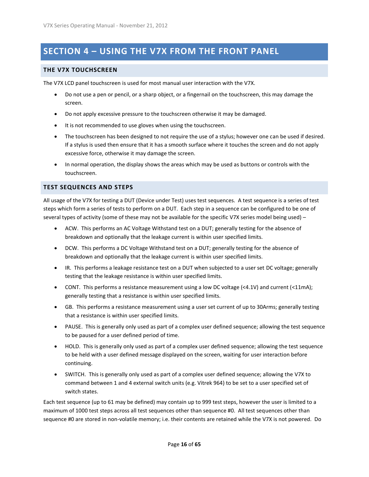## <span id="page-15-0"></span>**SECTION 4 – USING THE V7X FROM THE FRONT PANEL**

#### <span id="page-15-1"></span>**THE V7X TOUCHSCREEN**

The V7X LCD panel touchscreen is used for most manual user interaction with the V7X.

- Do not use a pen or pencil, or a sharp object, or a fingernail on the touchscreen, this may damage the screen.
- Do not apply excessive pressure to the touchscreen otherwise it may be damaged.
- It is not recommended to use gloves when using the touchscreen.
- The touchscreen has been designed to not require the use of a stylus; however one can be used if desired. If a stylus is used then ensure that it has a smooth surface where it touches the screen and do not apply excessive force, otherwise it may damage the screen.
- In normal operation, the display shows the areas which may be used as buttons or controls with the touchscreen.

#### <span id="page-15-2"></span>**TEST SEQUENCES AND STEPS**

All usage of the V7X for testing a DUT (Device under Test) uses test sequences. A test sequence is a series of test steps which form a series of tests to perform on a DUT. Each step in a sequence can be configured to be one of several types of activity (some of these may not be available for the specific V7X series model being used) –

- ACW. This performs an AC Voltage Withstand test on a DUT; generally testing for the absence of breakdown and optionally that the leakage current is within user specified limits.
- DCW. This performs a DC Voltage Withstand test on a DUT; generally testing for the absence of breakdown and optionally that the leakage current is within user specified limits.
- IR. This performs a leakage resistance test on a DUT when subjected to a user set DC voltage; generally testing that the leakage resistance is within user specified limits.
- CONT. This performs a resistance measurement using a low DC voltage (<4.1V) and current (<11mA); generally testing that a resistance is within user specified limits.
- GB. This performs a resistance measurement using a user set current of up to 30Arms; generally testing that a resistance is within user specified limits.
- PAUSE. This is generally only used as part of a complex user defined sequence; allowing the test sequence to be paused for a user defined period of time.
- HOLD. This is generally only used as part of a complex user defined sequence; allowing the test sequence to be held with a user defined message displayed on the screen, waiting for user interaction before continuing.
- SWITCH. This is generally only used as part of a complex user defined sequence; allowing the V7X to command between 1 and 4 external switch units (e.g. Vitrek 964) to be set to a user specified set of switch states.

Each test sequence (up to 61 may be defined) may contain up to 999 test steps, however the user is limited to a maximum of 1000 test steps across all test sequences other than sequence #0. All test sequences other than sequence #0 are stored in non-volatile memory; i.e. their contents are retained while the V7X is not powered. Do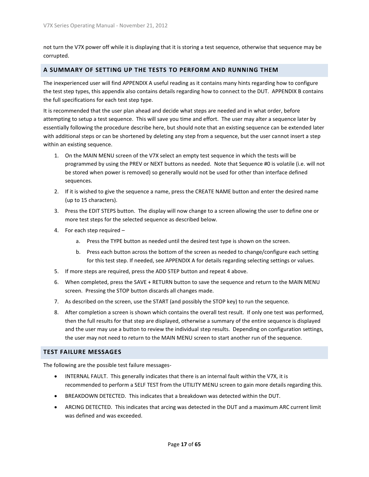not turn the V7X power off while it is displaying that it is storing a test sequence, otherwise that sequence may be corrupted.

#### <span id="page-16-0"></span>**A SUMMARY OF SETTING UP THE TESTS TO PERFORM AND RUNNING THEM**

The inexperienced user will find APPENDIX A useful reading as it contains many hints regarding how to configure the test step types, this appendix also contains details regarding how to connect to the DUT. APPENDIX B contains the full specifications for each test step type.

It is recommended that the user plan ahead and decide what steps are needed and in what order, before attempting to setup a test sequence. This will save you time and effort. The user may alter a sequence later by essentially following the procedure describe here, but should note that an existing sequence can be extended later with additional steps or can be shortened by deleting any step from a sequence, but the user cannot insert a step within an existing sequence.

- 1. On the MAIN MENU screen of the V7X select an empty test sequence in which the tests will be programmed by using the PREV or NEXT buttons as needed. Note that Sequence #0 is volatile (i.e. will not be stored when power is removed) so generally would not be used for other than interface defined sequences.
- 2. If it is wished to give the sequence a name, press the CREATE NAME button and enter the desired name (up to 15 characters).
- 3. Press the EDIT STEPS button. The display will now change to a screen allowing the user to define one or more test steps for the selected sequence as described below.
- 4. For each step required
	- a. Press the TYPE button as needed until the desired test type is shown on the screen.
	- b. Press each button across the bottom of the screen as needed to change/configure each setting for this test step. If needed, see APPENDIX A for details regarding selecting settings or values.
- 5. If more steps are required, press the ADD STEP button and repeat 4 above.
- 6. When completed, press the SAVE + RETURN button to save the sequence and return to the MAIN MENU screen. Pressing the STOP button discards all changes made.
- 7. As described on the screen, use the START (and possibly the STOP key) to run the sequence.
- 8. After completion a screen is shown which contains the overall test result. If only one test was performed, then the full results for that step are displayed, otherwise a summary of the entire sequence is displayed and the user may use a button to review the individual step results. Depending on configuration settings, the user may not need to return to the MAIN MENU screen to start another run of the sequence.

#### <span id="page-16-1"></span>**TEST FAILURE MESSAGES**

The following are the possible test failure messages-

- INTERNAL FAULT. This generally indicates that there is an internal fault within the V7X, it is recommended to perform a SELF TEST from the UTILITY MENU screen to gain more details regarding this.
- BREAKDOWN DETECTED. This indicates that a breakdown was detected within the DUT.
- ARCING DETECTED. This indicates that arcing was detected in the DUT and a maximum ARC current limit was defined and was exceeded.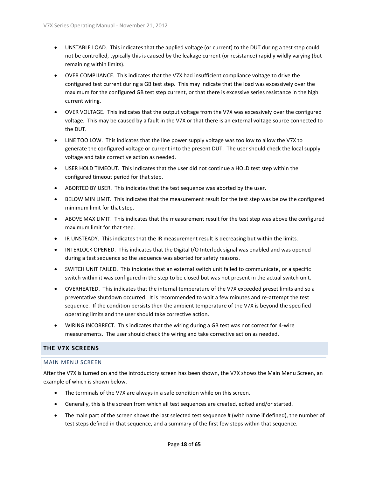- UNSTABLE LOAD. This indicates that the applied voltage (or current) to the DUT during a test step could not be controlled, typically this is caused by the leakage current (or resistance) rapidly wildly varying (but remaining within limits).
- OVER COMPLIANCE. This indicates that the V7X had insufficient compliance voltage to drive the configured test current during a GB test step. This may indicate that the load was excessively over the maximum for the configured GB test step current, or that there is excessive series resistance in the high current wiring.
- OVER VOLTAGE. This indicates that the output voltage from the V7X was excessively over the configured voltage. This may be caused by a fault in the V7X or that there is an external voltage source connected to the DUT.
- LINE TOO LOW. This indicates that the line power supply voltage was too low to allow the V7X to generate the configured voltage or current into the present DUT. The user should check the local supply voltage and take corrective action as needed.
- USER HOLD TIMEOUT. This indicates that the user did not continue a HOLD test step within the configured timeout period for that step.
- ABORTED BY USER. This indicates that the test sequence was aborted by the user.
- BELOW MIN LIMIT. This indicates that the measurement result for the test step was below the configured minimum limit for that step.
- ABOVE MAX LIMIT. This indicates that the measurement result for the test step was above the configured maximum limit for that step.
- IR UNSTEADY. This indicates that the IR measurement result is decreasing but within the limits.
- INTERLOCK OPENED. This indicates that the Digital I/O Interlock signal was enabled and was opened during a test sequence so the sequence was aborted for safety reasons.
- SWITCH UNIT FAILED. This indicates that an external switch unit failed to communicate, or a specific switch within it was configured in the step to be closed but was not present in the actual switch unit.
- OVERHEATED. This indicates that the internal temperature of the V7X exceeded preset limits and so a preventative shutdown occurred. It is recommended to wait a few minutes and re-attempt the test sequence. If the condition persists then the ambient temperature of the V7X is beyond the specified operating limits and the user should take corrective action.
- WIRING INCORRECT. This indicates that the wiring during a GB test was not correct for 4-wire measurements. The user should check the wiring and take corrective action as needed.

#### <span id="page-17-0"></span>**THE V7X SCREENS**

#### <span id="page-17-1"></span>MAIN MENU SCREEN

After the V7X is turned on and the introductory screen has been shown, the V7X shows the Main Menu Screen, an example of which is shown below.

- The terminals of the V7X are always in a safe condition while on this screen.
- Generally, this is the screen from which all test sequences are created, edited and/or started.
- The main part of the screen shows the last selected test sequence # (with name if defined), the number of test steps defined in that sequence, and a summary of the first few steps within that sequence.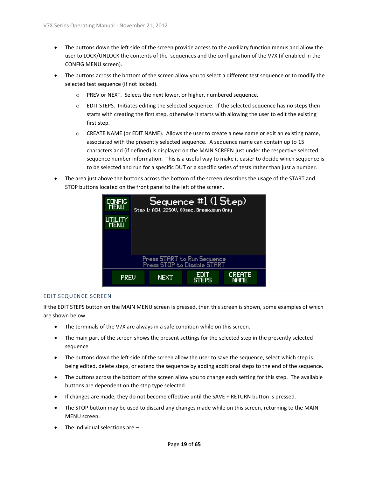- The buttons down the left side of the screen provide access to the auxiliary function menus and allow the user to LOCK/UNLOCK the contents of the sequences and the configuration of the V7X (if enabled in the CONFIG MENU screen).
- The buttons across the bottom of the screen allow you to select a different test sequence or to modify the selected test sequence (if not locked).
	- o PREV or NEXT. Selects the next lower, or higher, numbered sequence.
	- o EDIT STEPS. Initiates editing the selected sequence. If the selected sequence has no steps then starts with creating the first step, otherwise it starts with allowing the user to edit the existing first step.
	- $\circ$  CREATE NAME (or EDIT NAME). Allows the user to create a new name or edit an existing name, associated with the presently selected sequence. A sequence name can contain up to 15 characters and (if defined) is displayed on the MAIN SCREEN just under the respective selected sequence number information. This is a useful way to make it easier to decide which sequence is to be selected and run for a specific DUT or a specific series of tests rather than just a number.
- The area just above the buttons across the bottom of the screen describes the usage of the START and STOP buttons located on the front panel to the left of the screen.



#### <span id="page-18-0"></span>EDIT SEQUENCE SCREEN

If the EDIT STEPS button on the MAIN MENU screen is pressed, then this screen is shown, some examples of which are shown below.

- The terminals of the V7X are always in a safe condition while on this screen.
- The main part of the screen shows the present settings for the selected step in the presently selected sequence.
- The buttons down the left side of the screen allow the user to save the sequence, select which step is being edited, delete steps, or extend the sequence by adding additional steps to the end of the sequence.
- The buttons across the bottom of the screen allow you to change each setting for this step. The available buttons are dependent on the step type selected.
- If changes are made, they do not become effective until the SAVE + RETURN button is pressed.
- The STOP button may be used to discard any changes made while on this screen, returning to the MAIN MENU screen.
- The individual selections are –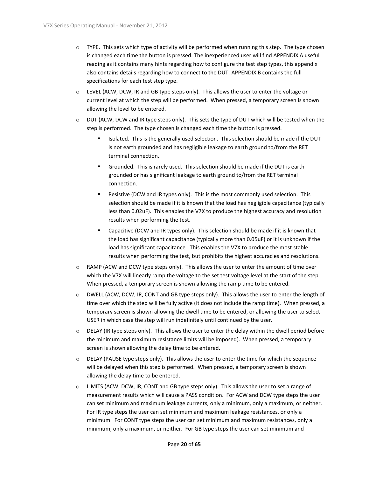- $\circ$  TYPE. This sets which type of activity will be performed when running this step. The type chosen is changed each time the button is pressed. The inexperienced user will find APPENDIX A useful reading as it contains many hints regarding how to configure the test step types, this appendix also contains details regarding how to connect to the DUT. APPENDIX B contains the full specifications for each test step type.
- $\circ$  LEVEL (ACW, DCW, IR and GB type steps only). This allows the user to enter the voltage or current level at which the step will be performed. When pressed, a temporary screen is shown allowing the level to be entered.
- $\circ$  DUT (ACW, DCW and IR type steps only). This sets the type of DUT which will be tested when the step is performed. The type chosen is changed each time the button is pressed.
	- Isolated. This is the generally used selection. This selection should be made if the DUT is not earth grounded and has negligible leakage to earth ground to/from the RET terminal connection.
	- Grounded. This is rarely used. This selection should be made if the DUT is earth grounded or has significant leakage to earth ground to/from the RET terminal connection.
	- Resistive (DCW and IR types only). This is the most commonly used selection. This selection should be made if it is known that the load has negligible capacitance (typically less than 0.02uF). This enables the V7X to produce the highest accuracy and resolution results when performing the test.
	- Capacitive (DCW and IR types only). This selection should be made if it is known that the load has significant capacitance (typically more than 0.05uF) or it is unknown if the load has significant capacitance. This enables the V7X to produce the most stable results when performing the test, but prohibits the highest accuracies and resolutions.
- $\circ$  RAMP (ACW and DCW type steps only). This allows the user to enter the amount of time over which the V7X will linearly ramp the voltage to the set test voltage level at the start of the step. When pressed, a temporary screen is shown allowing the ramp time to be entered.
- o DWELL (ACW, DCW, IR, CONT and GB type steps only). This allows the user to enter the length of time over which the step will be fully active (it does not include the ramp time). When pressed, a temporary screen is shown allowing the dwell time to be entered, or allowing the user to select USER in which case the step will run indefinitely until continued by the user.
- o DELAY (IR type steps only). This allows the user to enter the delay within the dwell period before the minimum and maximum resistance limits will be imposed). When pressed, a temporary screen is shown allowing the delay time to be entered.
- $\circ$  DELAY (PAUSE type steps only). This allows the user to enter the time for which the sequence will be delayed when this step is performed. When pressed, a temporary screen is shown allowing the delay time to be entered.
- $\circ$  LIMITS (ACW, DCW, IR, CONT and GB type steps only). This allows the user to set a range of measurement results which will cause a PASS condition. For ACW and DCW type steps the user can set minimum and maximum leakage currents, only a minimum, only a maximum, or neither. For IR type steps the user can set minimum and maximum leakage resistances, or only a minimum. For CONT type steps the user can set minimum and maximum resistances, only a minimum, only a maximum, or neither. For GB type steps the user can set minimum and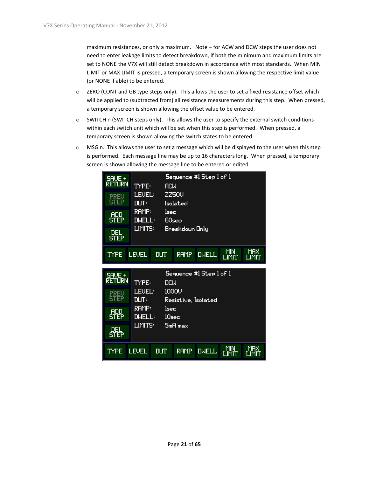maximum resistances, or only a maximum. Note – for ACW and DCW steps the user does not need to enter leakage limits to detect breakdown, if both the minimum and maximum limits are set to NONE the V7X will still detect breakdown in accordance with most standards. When MIN LIMIT or MAX LIMIT is pressed, a temporary screen is shown allowing the respective limit value (or NONE if able) to be entered.

- $\circ$  ZERO (CONT and GB type steps only). This allows the user to set a fixed resistance offset which will be applied to (subtracted from) all resistance measurements during this step. When pressed, a temporary screen is shown allowing the offset value to be entered.
- o SWITCH n (SWITCH steps only). This allows the user to specify the external switch conditions within each switch unit which will be set when this step is performed. When pressed, a temporary screen is shown allowing the switch states to be entered.
- $\circ$  MSG n. This allows the user to set a message which will be displayed to the user when this step is performed. Each message line may be up to 16 characters long. When pressed, a temporary screen is shown allowing the message line to be entered or edited.

| SAVE +<br>RETURN          | <b>TYPE:</b>           | <b>ACW</b> |                                 | Sequence #1 Step 1 of 1     |              |                     |
|---------------------------|------------------------|------------|---------------------------------|-----------------------------|--------------|---------------------|
| PREU<br><b>STEP</b>       | <b>LEVEL:</b><br>DUT:  |            | <b>2250U</b><br><b>Isolated</b> |                             |              |                     |
| <b>ADD</b><br><b>STEP</b> | RAMP:<br><b>DWELL:</b> | lsec       | 60sec                           |                             |              |                     |
| del<br><b>STEP</b>        | LIMITS:                |            | Breakdown Only                  |                             |              |                     |
| <b>TYPE</b>               | <b>LEVEL</b>           | <b>DUT</b> | <b>RAMP</b>                     | <b>DWELL</b>                | MIN<br>LIMIT | <b>MAX</b><br>LIMIT |
| SAVE +<br><b>RETURN</b>   | <b>TYPE:</b>           | <b>DCM</b> |                                 | Sequence $\#$ I Step 1 of 1 |              |                     |

1000U

 $l$ sec

**DUT** 

 $10<sub>sec</sub>$ 

 $5mH$  max

Resistive, Isolated

RAMP DWELL

MIN<br>LIMIT

TIHX<br>TIMIT

**LEVEL:** 

DUT:

RAMP:

**DWELL:** 

LIMITS:

**PREV**<br>STEP

**ADD**<br>STEP

 $\frac{\rm DEL}{\rm STEP}$ 

TYPE LEUEL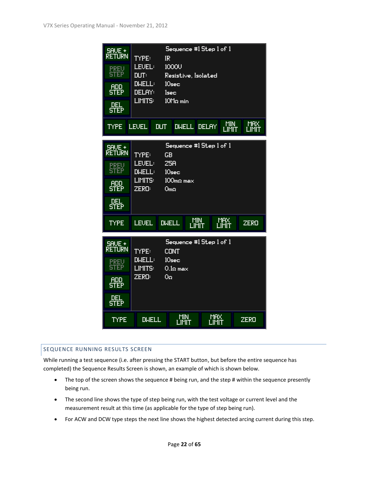| SAVE +<br>Réturn<br><b>PREV</b><br>STEP<br><b>ADD</b><br><b>STEP</b><br><b>DEL</b><br>STEP | Sequence #1 Step 1 of 1<br><b>TYPE:</b><br>IR<br>1000U<br><b>LEVEL:</b><br><b>DUT:</b><br>Resistive, Isolated<br><b>DWELL:</b><br>10 <sub>sec</sub><br>DELAY:<br>1sec<br>$10M2$ min<br>LIMITS: |  |  |
|--------------------------------------------------------------------------------------------|------------------------------------------------------------------------------------------------------------------------------------------------------------------------------------------------|--|--|
| <b>TYPE</b>                                                                                | MIN<br>MRX<br>LIMIT<br><b>LEVEL</b><br><b>DUT</b><br>DWELL DELAY<br>LIMIT                                                                                                                      |  |  |
| SAVE +<br>RETURN<br>PREU<br><b>STEP</b><br><u>ADD</u><br>STEP<br>DEL<br><b>STEP</b>        | Sequence #1 Step 1 of 1<br><b>TYPE:</b><br><b>GB</b><br>25A<br><b>LEVEL:</b><br><b>DWELL:</b><br>10 <sub>sec</sub><br>$100$ m $\Omega$ max<br>LIMITS:<br>ZERO:<br>0 <sub>ma</sub>              |  |  |
| <b>TYPE</b>                                                                                | MIN<br>LIMIT<br>MAX<br>LIMIT<br><b>LEVEL</b><br><b>DWELL</b><br><b>ZERO</b>                                                                                                                    |  |  |
| SAVE +<br>RETURN<br><b>PREV</b><br>STEP<br><b>ADD</b><br>STEP<br>DEL<br>STEP               | Sequence #1 Step 1 of 1<br><b>TYPE:</b><br><b>CONT</b><br><b>DWELL:</b><br>10 <sub>sec</sub><br>LIMITS:<br>$0.1$ Ω max<br>ZERO:<br>0 <sub>2</sub>                                              |  |  |
| TYPE                                                                                       | <b>MIN</b><br><b>MAX</b><br><b>DIJELL</b><br><b>ZERO</b><br>ĹĨMÏŤ<br>LIMIT                                                                                                                     |  |  |

#### <span id="page-21-0"></span>SEQUENCE RUNNING RESULTS SCREEN

While running a test sequence (i.e. after pressing the START button, but before the entire sequence has completed) the Sequence Results Screen is shown, an example of which is shown below.

- The top of the screen shows the sequence # being run, and the step # within the sequence presently being run.
- The second line shows the type of step being run, with the test voltage or current level and the measurement result at this time (as applicable for the type of step being run).
- For ACW and DCW type steps the next line shows the highest detected arcing current during this step.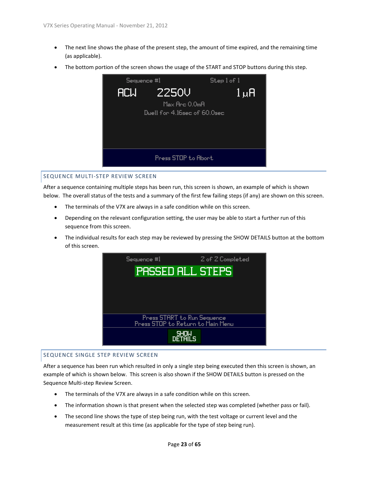- The next line shows the phase of the present step, the amount of time expired, and the remaining time (as applicable).
- The bottom portion of the screen shows the usage of the START and STOP buttons during this step.



#### <span id="page-22-0"></span>SEQUENCE MULTI-STEP REVIEW SCREEN

After a sequence containing multiple steps has been run, this screen is shown, an example of which is shown below. The overall status of the tests and a summary of the first few failing steps (if any) are shown on this screen.

- The terminals of the V7X are always in a safe condition while on this screen.
- Depending on the relevant configuration setting, the user may be able to start a further run of this sequence from this screen.
- The individual results for each step may be reviewed by pressing the SHOW DETAILS button at the bottom of this screen.



#### <span id="page-22-1"></span>SEQUENCE SINGLE STEP REVIEW SCREEN

After a sequence has been run which resulted in only a single step being executed then this screen is shown, an example of which is shown below. This screen is also shown if the SHOW DETAILS button is pressed on the Sequence Multi-step Review Screen.

- The terminals of the V7X are always in a safe condition while on this screen.
- The information shown is that present when the selected step was completed (whether pass or fail).
- The second line shows the type of step being run, with the test voltage or current level and the measurement result at this time (as applicable for the type of step being run).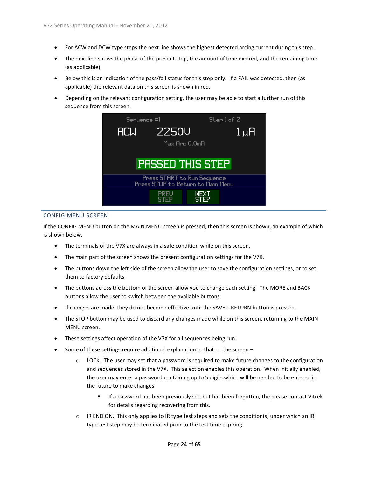- For ACW and DCW type steps the next line shows the highest detected arcing current during this step.
- The next line shows the phase of the present step, the amount of time expired, and the remaining time (as applicable).
- Below this is an indication of the pass/fail status for this step only. If a FAIL was detected, then (as applicable) the relevant data on this screen is shown in red.
- Depending on the relevant configuration setting, the user may be able to start a further run of this sequence from this screen.



#### <span id="page-23-0"></span>CONFIG MENU SCREEN

If the CONFIG MENU button on the MAIN MENU screen is pressed, then this screen is shown, an example of which is shown below.

- The terminals of the V7X are always in a safe condition while on this screen.
- The main part of the screen shows the present configuration settings for the V7X.
- The buttons down the left side of the screen allow the user to save the configuration settings, or to set them to factory defaults.
- The buttons across the bottom of the screen allow you to change each setting. The MORE and BACK buttons allow the user to switch between the available buttons.
- If changes are made, they do not become effective until the SAVE + RETURN button is pressed.
- The STOP button may be used to discard any changes made while on this screen, returning to the MAIN MENU screen.
- These settings affect operation of the V7X for all sequences being run.
- Some of these settings require additional explanation to that on the screen
	- $\circ$  LOCK. The user may set that a password is required to make future changes to the configuration and sequences stored in the V7X. This selection enables this operation. When initially enabled, the user may enter a password containing up to 5 digits which will be needed to be entered in the future to make changes.
		- If a password has been previously set, but has been forgotten, the please contact Vitrek for details regarding recovering from this.
	- $\circ$  IR END ON. This only applies to IR type test steps and sets the condition(s) under which an IR type test step may be terminated prior to the test time expiring.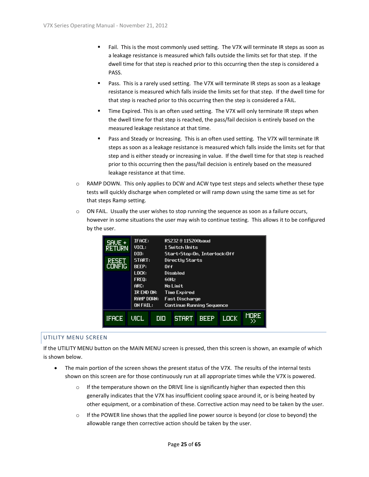- Fail. This is the most commonly used setting. The V7X will terminate IR steps as soon as a leakage resistance is measured which falls outside the limits set for that step. If the dwell time for that step is reached prior to this occurring then the step is considered a PASS.
- Pass. This is a rarely used setting. The V7X will terminate IR steps as soon as a leakage resistance is measured which falls inside the limits set for that step. If the dwell time for that step is reached prior to this occurring then the step is considered a FAIL.
- Time Expired. This is an often used setting. The V7X will only terminate IR steps when the dwell time for that step is reached, the pass/fail decision is entirely based on the measured leakage resistance at that time.
- Pass and Steady or Increasing. This is an often used setting. The V7X will terminate IR steps as soon as a leakage resistance is measured which falls inside the limits set for that step and is either steady or increasing in value. If the dwell time for that step is reached prior to this occurring then the pass/fail decision is entirely based on the measured leakage resistance at that time.
- o RAMP DOWN. This only applies to DCW and ACW type test steps and selects whether these type tests will quickly discharge when completed or will ramp down using the same time as set for that steps Ramp setting.
- $\circ$  ON FAIL. Usually the user wishes to stop running the sequence as soon as a failure occurs, however in some situations the user may wish to continue testing. This allows it to be configured by the user.

| SAVE +<br><b>RETURN</b> | <b>IFACE:</b><br><b>VICL:</b>                      |      | RS232 ® 115200baud<br>1 Switch Units                                      |             |      |             |
|-------------------------|----------------------------------------------------|------|---------------------------------------------------------------------------|-------------|------|-------------|
| RESET<br><b>CONFIG</b>  | DIO:<br>START:<br><b>BEEP:</b>                     | 0ff  | Start+Stop:On, Interlock:Off<br><b>Directly Starts</b>                    |             |      |             |
|                         | $L$ ock:<br>FREQ:<br>ARC:                          | 60Hz | Disabled<br>No Limit                                                      |             |      |             |
|                         | IR END ON:<br><b>RAMP DOWN:</b><br><b>ON FAIL:</b> |      | <b>Time Expired</b><br>Fast Discharge<br><b>Continue Running Sequence</b> |             |      |             |
| <b>IFACE</b>            | uicl                                               | םום  | <b>START</b>                                                              | <b>BEEP</b> | LOCK | <b>MORE</b> |

#### <span id="page-24-0"></span>UTILITY MENU SCREEN

If the UTILITY MENU button on the MAIN MENU screen is pressed, then this screen is shown, an example of which is shown below.

- The main portion of the screen shows the present status of the V7X. The results of the internal tests shown on this screen are for those continuously run at all appropriate times while the V7X is powered.
	- $\circ$  If the temperature shown on the DRIVE line is significantly higher than expected then this generally indicates that the V7X has insufficient cooling space around it, or is being heated by other equipment, or a combination of these. Corrective action may need to be taken by the user.
	- $\circ$  If the POWER line shows that the applied line power source is beyond (or close to beyond) the allowable range then corrective action should be taken by the user.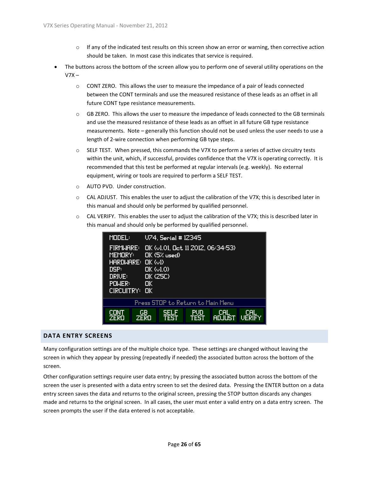- $\circ$  If any of the indicated test results on this screen show an error or warning, then corrective action should be taken. In most case this indicates that service is required.
- The buttons across the bottom of the screen allow you to perform one of several utility operations on the  $V7X -$ 
	- $\circ$  CONT ZERO. This allows the user to measure the impedance of a pair of leads connected between the CONT terminals and use the measured resistance of these leads as an offset in all future CONT type resistance measurements.
	- $\circ$  GB ZERO. This allows the user to measure the impedance of leads connected to the GB terminals and use the measured resistance of these leads as an offset in all future GB type resistance measurements. Note – generally this function should not be used unless the user needs to use a length of 2-wire connection when performing GB type steps.
	- $\circ$  SELF TEST. When pressed, this commands the V7X to perform a series of active circuitry tests within the unit, which, if successful, provides confidence that the V7X is operating correctly. It is recommended that this test be performed at regular intervals (e.g. weekly). No external equipment, wiring or tools are required to perform a SELF TEST.
	- o AUTO PVD. Under construction.
	- $\circ$  CAL ADJUST. This enables the user to adjust the calibration of the V7X; this is described later in this manual and should only be performed by qualified personnel.
	- $\circ$  CAL VERIFY. This enables the user to adjust the calibration of the V7X; this is described later in this manual and should only be performed by qualified personnel.

| <b>MODEL:</b>                                                  |                                                                                 | U74, Serial #12345                                             |                    |                             |                             |
|----------------------------------------------------------------|---------------------------------------------------------------------------------|----------------------------------------------------------------|--------------------|-----------------------------|-----------------------------|
| <b>FIRMWARE:</b><br>MEMORY:<br>DSP:<br><b>DRIVE:</b><br>POWER: | $H$ ARDWARE: OK ( $\cup$ 1)<br>OK (01.0)<br>$OK$ $(25C)$<br>OK<br>CIRCUITRY: OK | DK (v1.01, Det 11 2012, 06:34:53)<br>$\mathsf{D\!K}$ (5% used) |                    |                             |                             |
|                                                                |                                                                                 | Press STOP to Return to Main Menu                              |                    |                             |                             |
| CONT<br>ZERO                                                   | GB.<br><b>ZERO</b>                                                              | <b>SELF</b><br><b>TFST</b>                                     | PUD<br><b>TEST</b> | <b>CAL</b><br><b>ADJUST</b> | <b>CAL</b><br><b>UERIFY</b> |

#### <span id="page-25-0"></span>**DATA ENTRY SCREENS**

Many configuration settings are of the multiple choice type. These settings are changed without leaving the screen in which they appear by pressing (repeatedly if needed) the associated button across the bottom of the screen.

Other configuration settings require user data entry; by pressing the associated button across the bottom of the screen the user is presented with a data entry screen to set the desired data. Pressing the ENTER button on a data entry screen saves the data and returns to the original screen, pressing the STOP button discards any changes made and returns to the original screen. In all cases, the user must enter a valid entry on a data entry screen. The screen prompts the user if the data entered is not acceptable.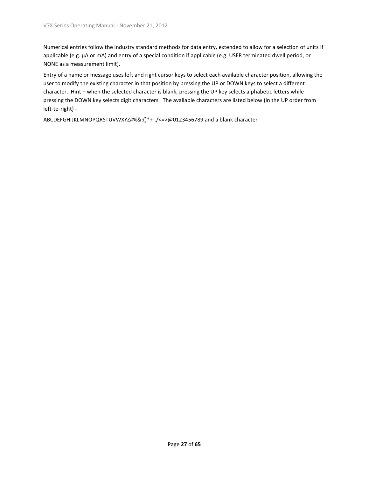Numerical entries follow the industry standard methods for data entry, extended to allow for a selection of units if applicable (e.g. µA or mA) and entry of a special condition if applicable (e.g. USER terminated dwell period, or NONE as a measurement limit).

Entry of a name or message uses left and right cursor keys to select each available character position, allowing the user to modify the existing character in that position by pressing the UP or DOWN keys to select a different character. Hint – when the selected character is blank, pressing the UP key selects alphabetic letters while pressing the DOWN key selects digit characters. The available characters are listed below (in the UP order from left-to-right) -

ABCDEFGHIJKLMNOPQRSTUVWXYZ#%&:()\*+-./<=>@0123456789 and a blank character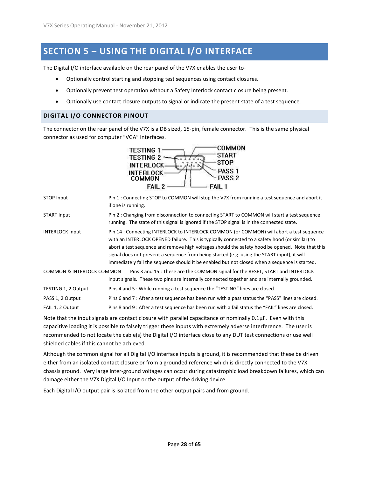## <span id="page-27-0"></span>**SECTION 5 – USING THE DIGITAL I/O INTERFACE**

The Digital I/O interface available on the rear panel of the V7X enables the user to-

- Optionally control starting and stopping test sequences using contact closures.
- Optionally prevent test operation without a Safety Interlock contact closure being present.
- Optionally use contact closure outputs to signal or indicate the present state of a test sequence.

#### <span id="page-27-1"></span>**DIGITAL I/O CONNECTOR PINOUT**

The connector on the rear panel of the V7X is a DB sized, 15-pin, female connector. This is the same physical connector as used for computer "VGA" interfaces.



STOP Input Pin 1 : Connecting STOP to COMMON will stop the V7X from running a test sequence and abort it if one is running.

START Input Pin 2 : Changing from disconnection to connecting START to COMMON will start a test sequence running. The state of this signal is ignored if the STOP signal is in the connected state.

INTERLOCK Input Pin 14 : Connecting INTERLOCK to INTERLOCK COMMON (or COMMON) will abort a test sequence with an INTERLOCK OPENED failure. This is typically connected to a safety hood (or similar) to abort a test sequence and remove high voltages should the safety hood be opened. Note that this signal does not prevent a sequence from being started (e.g. using the START input), it will immediately fail the sequence should it be enabled but not closed when a sequence is started.

COMMON & INTERLOCK COMMON Pins 3 and 15 : These are the COMMON signal for the RESET, START and INTERLOCK input signals. These two pins are internally connected together and are internally grounded. TESTING 1, 2 Output Pins 4 and 5 : While running a test sequence the "TESTING" lines are closed. PASS 1, 2 Output Pins 6 and 7 : After a test sequence has been run with a pass status the "PASS" lines are closed.

FAIL 1, 2 Output Pins 8 and 9 : After a test sequence has been run with a fail status the "FAIL" lines are closed.

Note that the input signals are contact closure with parallel capacitance of nominally 0.1µF. Even with this capacitive loading it is possible to falsely trigger these inputs with extremely adverse interference. The user is recommended to not locate the cable(s) the Digital I/O interface close to any DUT test connections or use well shielded cables if this cannot be achieved.

Although the common signal for all Digital I/O interface inputs is ground, it is recommended that these be driven either from an isolated contact closure or from a grounded reference which is directly connected to the V7X chassis ground. Very large inter-ground voltages can occur during catastrophic load breakdown failures, which can damage either the V7X Digital I/O Input or the output of the driving device.

Each Digital I/O output pair is isolated from the other output pairs and from ground.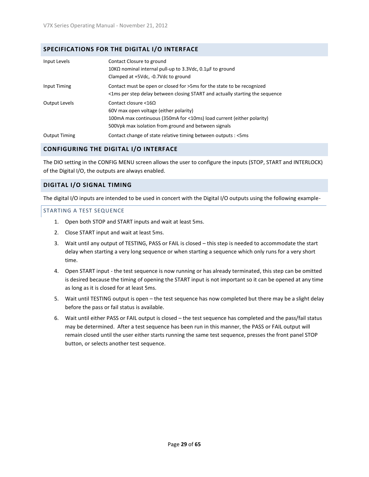#### <span id="page-28-0"></span>**SPECIFICATIONS FOR THE DIGITAL I/O INTERFACE**

| Input Levels         | Contact Closure to ground<br>10KΩ nominal internal pull-up to 3.3Vdc, 0.1μF to ground<br>Clamped at +5Vdc, -0.7Vdc to ground                                                                                           |
|----------------------|------------------------------------------------------------------------------------------------------------------------------------------------------------------------------------------------------------------------|
| Input Timing         | Contact must be open or closed for >5ms for the state to be recognized<br><1ms per step delay between closing START and actually starting the sequence                                                                 |
| Output Levels        | Contact closure $\langle 16 \Omega \rangle$<br>60V max open voltage (either polarity)<br>100mA max continuous (350mA for <10ms) load current (either polarity)<br>500Vpk max isolation from ground and between signals |
| <b>Output Timing</b> | Contact change of state relative timing between outputs : < 5ms                                                                                                                                                        |

#### <span id="page-28-1"></span>**CONFIGURING THE DIGITAL I/O INTERFACE**

The DIO setting in the CONFIG MENU screen allows the user to configure the inputs (STOP, START and INTERLOCK) of the Digital I/O, the outputs are always enabled.

#### <span id="page-28-2"></span>**DIGITAL I/O SIGNAL TIMING**

The digital I/O inputs are intended to be used in concert with the Digital I/O outputs using the following example-

#### <span id="page-28-3"></span>STARTING A TEST SEQUENCE

- 1. Open both STOP and START inputs and wait at least 5ms.
- 2. Close START input and wait at least 5ms.
- 3. Wait until any output of TESTING, PASS or FAIL is closed this step is needed to accommodate the start delay when starting a very long sequence or when starting a sequence which only runs for a very short time.
- 4. Open START input the test sequence is now running or has already terminated, this step can be omitted is desired because the timing of opening the START input is not important so it can be opened at any time as long as it is closed for at least 5ms.
- 5. Wait until TESTING output is open the test sequence has now completed but there may be a slight delay before the pass or fail status is available.
- 6. Wait until either PASS or FAIL output is closed the test sequence has completed and the pass/fail status may be determined. After a test sequence has been run in this manner, the PASS or FAIL output will remain closed until the user either starts running the same test sequence, presses the front panel STOP button, or selects another test sequence.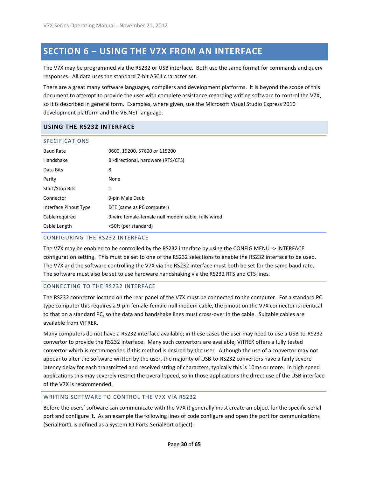## <span id="page-29-0"></span>**SECTION 6 – USING THE V7X FROM AN INTERFACE**

The V7X may be programmed via the RS232 or USB interface. Both use the same format for commands and query responses. All data uses the standard 7-bit ASCII character set.

There are a great many software languages, compilers and development platforms. It is beyond the scope of this document to attempt to provide the user with complete assistance regarding writing software to control the V7X, so it is described in general form. Examples, where given, use the Microsoft Visual Studio Express 2010 development platform and the VB.NET language.

#### <span id="page-29-1"></span>**USING THE RS232 INTERFACE**

<span id="page-29-2"></span>

| <b>SPECIFICATIONS</b> |                                                    |
|-----------------------|----------------------------------------------------|
| <b>Baud Rate</b>      | 9600, 19200, 57600 or 115200                       |
| Handshake             | Bi-directional, hardware (RTS/CTS)                 |
| Data Bits             | 8                                                  |
| Parity                | None                                               |
| Start/Stop Bits       | 1                                                  |
| Connector             | 9-pin Male Dsub                                    |
| Interface Pinout Type | DTE (same as PC computer)                          |
| Cable required        | 9-wire female-female null modem cable, fully wired |
| Cable Length          | <50ft (per standard)                               |

#### <span id="page-29-3"></span>CONFIGURING THE RS232 INTERFACE

The V7X may be enabled to be controlled by the RS232 interface by using the CONFIG MENU -> INTERFACE configuration setting. This must be set to one of the RS232 selections to enable the RS232 interface to be used. The V7X and the software controlling the V7X via the RS232 interface must both be set for the same baud rate. The software must also be set to use hardware handshaking via the RS232 RTS and CTS lines.

#### <span id="page-29-4"></span>CONNECTING TO THE RS232 INTERFACE

The RS232 connector located on the rear panel of the V7X must be connected to the computer. For a standard PC type computer this requires a 9-pin female-female null modem cable, the pinout on the V7X connector is identical to that on a standard PC, so the data and handshake lines must cross-over in the cable. Suitable cables are available from ViTREK.

Many computers do not have a RS232 interface available; in these cases the user may need to use a USB-to-RS232 convertor to provide the RS232 interface. Many such convertors are available; ViTREK offers a fully tested convertor which is recommended if this method is desired by the user. Although the use of a convertor may not appear to alter the software written by the user, the majority of USB-to-RS232 convertors have a fairly severe latency delay for each transmitted and received string of characters, typically this is 10ms or more. In high speed applications this may severely restrict the overall speed, so in those applications the direct use of the USB interface of the V7X is recommended.

#### <span id="page-29-5"></span>WRITING SOFTWARE TO CONTROL THE V7X VIA RS232

Before the users' software can communicate with the V7X it generally must create an object for the specific serial port and configure it. As an example the following lines of code configure and open the port for communications (SerialPort1 is defined as a System.IO.Ports.SerialPort object)-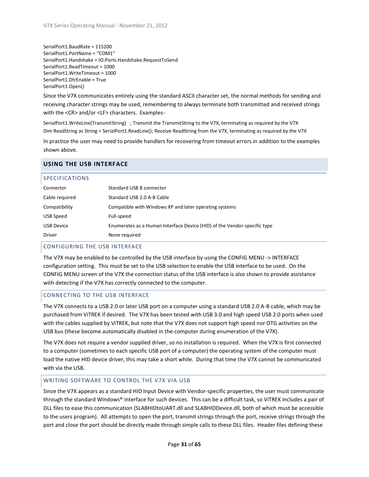SerialPort1.BaudRate = 115200 SerialPort1.PortName = "COM1" SerialPort1.Handshake = IO.Ports.Handshake.RequestToSend SerialPort1.ReadTimeout = 1000 SerialPort1.WriteTimeout = 1000 SerialPort1.DtrEnable = True SerialPort1.Open()

Since the V7X communicates entirely using the standard ASCII character set, the normal methods for sending and receiving character strings may be used, remembering to always terminate both transmitted and received strings with the <CR> and/or <LF> characters. Examples-

SerialPort1.WriteLine(TransmitString) ; Transmit the TransmitString to the V7X, terminating as required by the V7X Dim ReadString as String = SerialPort1.ReadLine(); Receive ReadString from the V7X, terminating as required by the V7X

In practice the user may need to provide handlers for recovering from timeout errors in addition to the examples shown above.

#### <span id="page-30-0"></span>**USING THE USB INTERFACE**

<span id="page-30-1"></span>

| <b>SPECIFICATIONS</b> |                                                                          |
|-----------------------|--------------------------------------------------------------------------|
| Connector             | Standard USB B connector                                                 |
| Cable required        | Standard USB 2.0 A-B Cable                                               |
| Compatibility         | Compatible with Windows XP and later operating systems                   |
| USB Speed             | Full-speed                                                               |
| <b>USB Device</b>     | Enumerates as a Human Interface Device (HID) of the Vendor-specific type |
| <b>Driver</b>         | None required                                                            |

#### <span id="page-30-2"></span>CONFIGURING THE USB INTERFACE

The V7X may be enabled to be controlled by the USB interface by using the CONFIG MENU -> INTERFACE configuration setting. This must be set to the USB selection to enable the USB interface to be used. On the CONFIG MENU screen of the V7X the connection status of the USB interface is also shown to provide assistance with detecting if the V7X has correctly connected to the computer.

#### <span id="page-30-3"></span>CONNECTING TO THE USB INTERFACE

The V7X connects to a USB 2.0 or later USB port on a computer using a standard USB 2.0 A-B cable, which may be purchased from ViTREK if desired. The V7X has been tested with USB 3.0 and high speed USB 2.0 ports when used with the cables supplied by ViTREK, but note that the V7X does not support high speed nor OTG activities on the USB bus (these become automatically disabled in the computer during enumeration of the V7X).

The V7X does not require a vendor supplied driver, so no installation is required. When the V7X is first connected to a computer (sometimes to each specific USB port of a computer) the operating system of the computer must load the native HID device driver, this may take a short while. During that time the V7X cannot be communicated with via the USB.

#### <span id="page-30-4"></span>WRITING SOFTWARE TO CONTROL THE V7X VIA USB

Since the V7X appears as a standard HID Input Device with Vendor-specific properties, the user must communicate through the standard Windows® interface for such devices. This can be a difficult task, so ViTREK includes a pair of DLL files to ease this communication (SLABHIDtoUART.dll and SLABHIDDevice.dll, both of which must be accessible to the users program). All attempts to open the port, transmit strings through the port, receive strings through the port and close the port should be directly made through simple calls to these DLL files. Header files defining these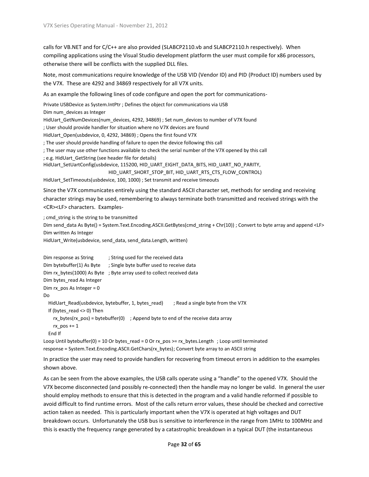calls for VB.NET and for C/C++ are also provided (SLABCP2110.vb and SLABCP2110.h respectively). When compiling applications using the Visual Studio development platform the user must compile for x86 processors, otherwise there will be conflicts with the supplied DLL files.

Note, most communications require knowledge of the USB VID (Vendor ID) and PID (Product ID) numbers used by the V7X. These are 4292 and 34869 respectively for all V7X units.

As an example the following lines of code configure and open the port for communications-

Private USBDevice as System.IntPtr ; Defines the object for communications via USB

Dim num\_devices as Integer

HidUart\_GetNumDevices(num\_devices, 4292, 34869) ; Set num\_devices to number of V7X found

; User should provide handler for situation where no V7X devices are found

HidUart\_Open(usbdevice, 0, 4292, 34869) ; Opens the first found V7X

; The user should provide handling of failure to open the device following this call

; The user may use other functions available to check the serial number of the V7X opened by this call

; e.g. HidUart\_GetString (see header file for details)

HidUart\_SetUartConfig(usbdevice, 115200, HID\_UART\_EIGHT\_DATA\_BITS, HID\_UART\_NO\_PARITY,

HID\_UART\_SHORT\_STOP\_BIT, HID\_UART\_RTS\_CTS\_FLOW\_CONTROL)

HidUart SetTimeouts(usbdevice, 100, 1000) ; Set transmit and receive timeouts

Since the V7X communicates entirely using the standard ASCII character set, methods for sending and receiving character strings may be used, remembering to always terminate both transmitted and received strings with the <CR><LF> characters. Examples-

; cmd string is the string to be transmitted Dim send data As Byte() = System.Text.Encoding.ASCII.GetBytes(cmd string + Chr(10)) ; Convert to byte array and append <LF> Dim written As Integer

HidUart\_Write(usbdevice, send\_data, send\_data.Length, written)

```
Dim response as String ; String used for the received data
Dim bytebuffer(1) As Byte ; Single byte buffer used to receive data
Dim rx bytes(1000) As Byte ; Byte array used to collect received data
Dim bytes read As Integer
Dim rx pos As Integer = 0
Do
 HidUart Read(usbdevice, bytebuffer, 1, bytes read) ; Read a single byte from the V7X
  If (bytes_read <> 0) Then
    rx_bytes(rx_pos) = bytebuffer(0); Append byte to end of the receive data array
    rx pos += 1 End If
```
Loop Until bytebuffer(0) = 10 Or bytes read = 0 Or rx pos >= rx bytes.Length ; Loop until terminated response = System.Text.Encoding.ASCII.GetChars(rx\_bytes); Convert byte array to an ASCII string

In practice the user may need to provide handlers for recovering from timeout errors in addition to the examples shown above.

As can be seen from the above examples, the USB calls operate using a "handle" to the opened V7X. Should the V7X become disconnected (and possibly re-connected) then the handle may no longer be valid. In general the user should employ methods to ensure that this is detected in the program and a valid handle reformed if possible to avoid difficult to find runtime errors. Most of the calls return error values, these should be checked and corrective action taken as needed. This is particularly important when the V7X is operated at high voltages and DUT breakdown occurs. Unfortunately the USB bus is sensitive to interference in the range from 1MHz to 100MHz and this is exactly the frequency range generated by a catastrophic breakdown in a typical DUT (the instantaneous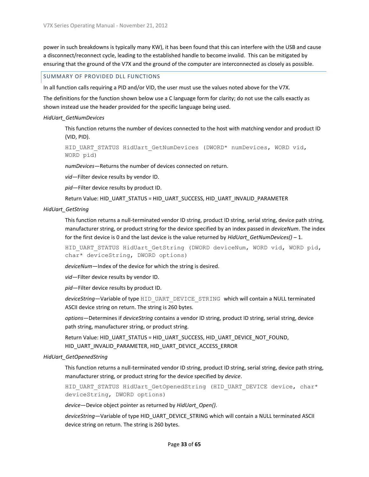power in such breakdowns is typically many KW), it has been found that this can interfere with the USB and cause a disconnect/reconnect cycle, leading to the established handle to become invalid. This can be mitigated by ensuring that the ground of the V7X and the ground of the computer are interconnected as closely as possible.

#### <span id="page-32-0"></span>SUMMARY OF PROVIDED DLL FUNCTIONS

In all function calls requiring a PID and/or VID, the user must use the values noted above for the V7X.

The definitions for the function shown below use a C language form for clarity; do not use the calls exactly as shown instead use the header provided for the specific language being used.

#### *HidUart\_GetNumDevices*

This function returns the number of devices connected to the host with matching vendor and product ID (VID, PID).

HID\_UART\_STATUS\_HidUart\_GetNumDevices (DWORD\* numDevices, WORD vid, WORD pid)

*numDevices*—Returns the number of devices connected on return.

*vid*—Filter device results by vendor ID.

*pid*—Filter device results by product ID.

Return Value: HID\_UART\_STATUS = HID\_UART\_SUCCESS, HID\_UART\_INVALID\_PARAMETER

#### *HidUart\_GetString*

This function returns a null-terminated vendor ID string, product ID string, serial string, device path string, manufacturer string, or product string for the device specified by an index passed in *deviceNum*. The index for the first device is 0 and the last device is the value returned by *HidUart\_GetNumDevices()* – 1.

HID UART STATUS HidUart GetString (DWORD deviceNum, WORD vid, WORD pid, char\* deviceString, DWORD options)

*deviceNum*—Index of the device for which the string is desired.

*vid*—Filter device results by vendor ID.

*pid*—Filter device results by product ID.

*deviceString*—Variable of type HID\_UART\_DEVICE\_STRING which will contain a NULL terminated ASCII device string on return. The string is 260 bytes.

*options*—Determines if *deviceString* contains a vendor ID string, product ID string, serial string, device path string, manufacturer string, or product string.

Return Value: HID\_UART\_STATUS = HID\_UART\_SUCCESS, HID\_UART\_DEVICE\_NOT\_FOUND, HID\_UART\_INVALID\_PARAMETER, HID\_UART\_DEVICE\_ACCESS\_ERROR

#### *HidUart\_GetOpenedString*

This function returns a null-terminated vendor ID string, product ID string, serial string, device path string, manufacturer string, or product string for the device specified by *device*.

HID\_UART\_STATUS\_HidUart\_GetOpenedString (HID\_UART\_DEVICE device, char\* deviceString, DWORD options)

*device*—Device object pointer as returned by *HidUart\_Open()*.

*deviceString*—Variable of type HID\_UART\_DEVICE\_STRING which will contain a NULL terminated ASCII device string on return. The string is 260 bytes.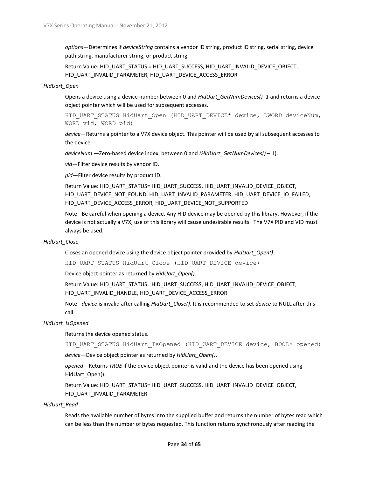*options*—Determines if *deviceString* contains a vendor ID string, product ID string, serial string, device path string, manufacturer string, or product string.

Return Value: HID\_UART\_STATUS = HID\_UART\_SUCCESS, HID\_UART\_INVALID\_DEVICE\_OBJECT, HID\_UART\_INVALID\_PARAMETER, HID\_UART\_DEVICE\_ACCESS\_ERROR

#### *HidUart\_Open*

Opens a device using a device number between 0 and *HidUart\_GetNumDevices()–1* and returns a device object pointer which will be used for subsequent accesses.

HID\_UART\_STATUS\_HidUart\_Open (HID\_UART\_DEVICE\* device, DWORD deviceNum, WORD vid, WORD pid)

*device*—Returns a pointer to a V7X device object. This pointer will be used by all subsequent accesses to the device.

*deviceNum* —Zero-based device index, between 0 and *(HidUart\_GetNumDevices()* – 1).

*vid*—Filter device results by vendor ID.

*pid*—Filter device results by product ID.

Return Value: HID\_UART\_STATUS= HID\_UART\_SUCCESS, HID\_UART\_INVALID\_DEVICE\_OBJECT, HID\_UART\_DEVICE\_NOT\_FOUND, HID\_UART\_INVALID\_PARAMETER, HID\_UART\_DEVICE\_IO\_FAILED, HID\_UART\_DEVICE\_ACCESS\_ERROR, HID\_UART\_DEVICE\_NOT\_SUPPORTED

Note - Be careful when opening a device. Any HID device may be opened by this library. However, if the device is not actually a V7X, use of this library will cause undesirable results. The V7X PID and VID must always be used.

#### *HidUart\_Close*

Closes an opened device using the device object pointer provided by *HidUart\_Open()*.

HID UART STATUS HidUart Close (HID UART DEVICE device)

Device object pointer as returned by *HidUart\_Open()*.

Return Value: HID\_UART\_STATUS= HID\_UART\_SUCCESS, HID\_UART\_INVALID\_DEVICE\_OBJECT, HID\_UART\_INVALID\_HANDLE, HID\_UART\_DEVICE\_ACCESS\_ERROR

Note - *device* is invalid after calling *HidUart\_Close()*. It is recommended to set *device* to NULL after this call.

#### *HidUart\_IsOpened*

Returns the device opened status.

HID\_UART\_STATUS\_HidUart\_IsOpened (HID\_UART\_DEVICE device, BOOL\* opened)

*device*—Device object pointer as returned by *HidUart\_Open()*.

*opened*—Returns *TRUE* if the device object pointer is valid and the device has been opened using HidUart\_Open().

Return Value: HID\_UART\_STATUS= HID\_UART\_SUCCESS, HID\_UART\_INVALID\_DEVICE\_OBJECT, HID\_UART\_INVALID\_PARAMETER

*HidUart\_Read*

Reads the available number of bytes into the supplied buffer and returns the number of bytes read which can be less than the number of bytes requested. This function returns synchronously after reading the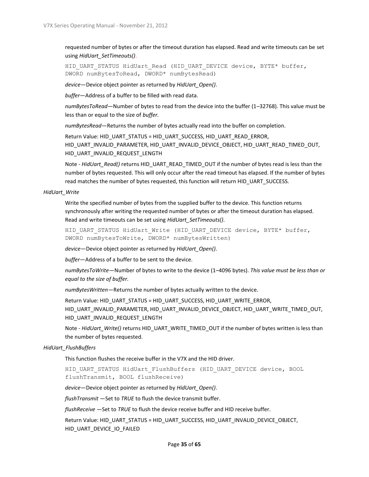requested number of bytes or after the timeout duration has elapsed. Read and write timeouts can be set using *HidUart\_SetTimeouts()*.

HID\_UART\_STATUS\_HidUart\_Read (HID\_UART\_DEVICE device, BYTE\* buffer, DWORD numBytesToRead, DWORD\* numBytesRead)

*device*—Device object pointer as returned by *HidUart\_Open()*.

*buffer*—Address of a buffer to be filled with read data.

*numBytesToRead*—Number of bytes to read from the device into the buffer (1–32768). This value must be less than or equal to the size of *buffer.*

*numBytesRead*—Returns the number of bytes actually read into the buffer on completion.

Return Value: HID\_UART\_STATUS = HID\_UART\_SUCCESS, HID\_UART\_READ\_ERROR, HID\_UART\_INVALID\_PARAMETER, HID\_UART\_INVALID\_DEVICE\_OBJECT, HID\_UART\_READ\_TIMED\_OUT, HID\_UART\_INVALID\_REQUEST\_LENGTH

Note - *HidUart\_Read()* returns HID\_UART\_READ\_TIMED\_OUT if the number of bytes read is less than the number of bytes requested. This will only occur after the read timeout has elapsed. If the number of bytes read matches the number of bytes requested, this function will return HID\_UART\_SUCCESS.

#### *HidUart\_Write*

Write the specified number of bytes from the supplied buffer to the device. This function returns synchronously after writing the requested number of bytes or after the timeout duration has elapsed. Read and write timeouts can be set using *HidUart\_SetTimeouts()*.

HID\_UART\_STATUS\_HidUart\_Write (HID\_UART\_DEVICE device, BYTE\* buffer, DWORD numBytesToWrite, DWORD\* numBytesWritten)

*device*—Device object pointer as returned by *HidUart\_Open()*.

*buffer*—Address of a buffer to be sent to the device.

*numBytesToWrite*—Number of bytes to write to the device (1–4096 bytes). *This value must be less than or equal to the size of buffer.*

*numBytesWritten*—Returns the number of bytes actually written to the device.

Return Value: HID\_UART\_STATUS = HID\_UART\_SUCCESS, HID\_UART\_WRITE\_ERROR,

HID\_UART\_INVALID\_PARAMETER, HID\_UART\_INVALID\_DEVICE\_OBJECT, HID\_UART\_WRITE\_TIMED\_OUT, HID\_UART\_INVALID\_REQUEST\_LENGTH

Note - *HidUart\_Write()* returns HID\_UART\_WRITE\_TIMED\_OUT if the number of bytes written is less than the number of bytes requested.

#### *HidUart\_FlushBuffers*

This function flushes the receive buffer in the V7X and the HID driver.

HID\_UART\_STATUS\_HidUart\_FlushBuffers (HID\_UART\_DEVICE device, BOOL flushTransmit, BOOL flushReceive)

*device*—Device object pointer as returned by *HidUart\_Open()*.

*flushTransmit* —Set to *TRUE* to flush the device transmit buffer.

*flushReceive* —Set to *TRUE* to flush the device receive buffer and HID receive buffer.

Return Value: HID\_UART\_STATUS = HID\_UART\_SUCCESS, HID\_UART\_INVALID\_DEVICE\_OBJECT, HID\_UART\_DEVICE\_IO\_FAILED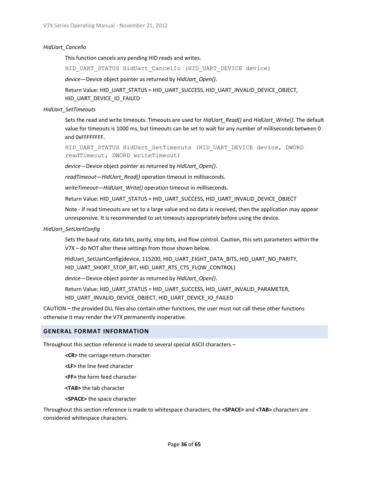#### *HidUart\_Cancello*

This function cancels any pending HID reads and writes.

HID UART STATUS HidUart CancelIo (HID UART DEVICE device)

*device*—Device object pointer as returned by *HidUart\_Open()*.

Return Value: HID\_UART\_STATUS = HID\_UART\_SUCCESS, HID\_UART\_INVALID\_DEVICE\_OBJECT, HID\_UART\_DEVICE\_IO\_FAILED

#### *HidUart\_SetTimeouts*

Sets the read and write timeouts. Timeouts are used for *HidUart\_Read()* and *HidUart\_Write()*. The default value for timeouts is 1000 ms, but timeouts can be set to wait for any number of milliseconds between 0 and 0xFFFFFFFF.

HID\_UART\_STATUS\_HidUart\_SetTimeouts (HID\_UART\_DEVICE device, DWORD readTimeout, DWORD writeTimeout)

*device*—Device object pointer as returned by *HidUart\_Open()*.

*readTimeout*—*HidUart\_Read()* operation timeout in milliseconds.

*writeTimeout*—*HidUart\_Write()* operation timeout in milliseconds.

Return Value: HID\_UART\_STATUS = HID\_UART\_SUCCESS, HID\_UART\_INVALID\_DEVICE\_OBJECT

Note - If read timeouts are set to a large value and no data is received, then the application may appear unresponsive. It is recommended to set timeouts appropriately before using the device.

#### *HidUart\_SetUartConfig*

Sets the baud rate, data bits, parity, stop bits, and flow control. Caution, this sets parameters within the V7X – do NOT alter these settings from those shown below.

HidUart SetUartConfig(device, 115200, HID\_UART\_EIGHT\_DATA\_BITS, HID\_UART\_NO\_PARITY, HID\_UART\_SHORT\_STOP\_BIT, HID\_UART\_RTS\_CTS\_FLOW\_CONTROL)

*device*—Device object pointer as returned by *HidUart\_Open()*.

Return Value: HID\_UART\_STATUS = HID\_UART\_SUCCESS, HID\_UART\_INVALID\_PARAMETER, HID\_UART\_INVALID\_DEVICE\_OBJECT, HID\_UART\_DEVICE\_IO\_FAILED

CAUTION – the provided DLL files also contain other functions, the user must not call these other functions otherwise it may render the V7X permanently inoperative.

#### <span id="page-35-0"></span>**GENERAL FORMAT INFORMATION**

Throughout this section reference is made to several special ASCII characters –

**<CR>** the carriage return character

**<LF>** the line feed character

**<FF>** the form feed character

**<TAB>** the tab character

**<SPACE>** the space character

Throughout this section reference is made to whitespace characters, the **<SPACE>** and **<TAB>** characters are considered whitespace characters.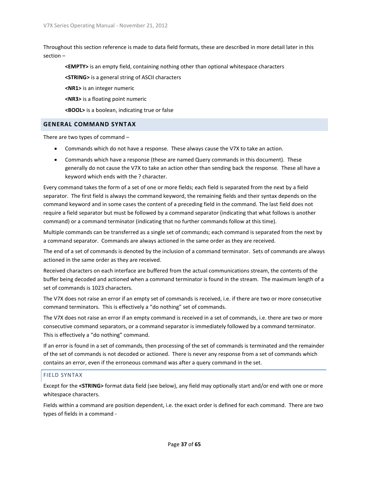Throughout this section reference is made to data field formats, these are described in more detail later in this section –

**<EMPTY>** is an empty field, containing nothing other than optional whitespace characters

**<STRING>** is a general string of ASCII characters

**<NR1>** is an integer numeric

**<NR3>** is a floating point numeric

**<BOOL>** is a boolean, indicating true or false

#### <span id="page-36-0"></span>**GENERAL COMMAND SYNTAX**

There are two types of command –

- Commands which do not have a response. These always cause the V7X to take an action.
- Commands which have a response (these are named Query commands in this document). These generally do not cause the V7X to take an action other than sending back the response. These all have a keyword which ends with the ? character.

Every command takes the form of a set of one or more fields; each field is separated from the next by a field separator. The first field is always the command keyword, the remaining fields and their syntax depends on the command keyword and in some cases the content of a preceding field in the command. The last field does not require a field separator but must be followed by a command separator (indicating that what follows is another command) or a command terminator (indicating that no further commands follow at this time).

Multiple commands can be transferred as a single set of commands; each command is separated from the next by a command separator. Commands are always actioned in the same order as they are received.

The end of a set of commands is denoted by the inclusion of a command terminator. Sets of commands are always actioned in the same order as they are received.

Received characters on each interface are buffered from the actual communications stream, the contents of the buffer being decoded and actioned when a command terminator is found in the stream. The maximum length of a set of commands is 1023 characters.

The V7X does not raise an error if an empty set of commands is received, i.e. if there are two or more consecutive command terminators. This is effectively a "do nothing" set of commands.

The V7X does not raise an error if an empty command is received in a set of commands, i.e. there are two or more consecutive command separators, or a command separator is immediately followed by a command terminator. This is effectively a "do nothing" command.

If an error is found in a set of commands, then processing of the set of commands is terminated and the remainder of the set of commands is not decoded or actioned. There is never any response from a set of commands which contains an error, even if the erroneous command was after a query command in the set.

#### <span id="page-36-1"></span>FIELD SYNTAX

Except for the **<STRING>** format data field (see below), any field may optionally start and/or end with one or more whitespace characters.

Fields within a command are position dependent, i.e. the exact order is defined for each command. There are two types of fields in a command -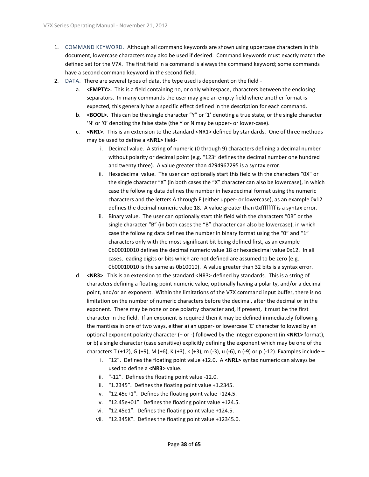- 1. COMMAND KEYWORD. Although all command keywords are shown using uppercase characters in this document, lowercase characters may also be used if desired. Command keywords must exactly match the defined set for the V7X. The first field in a command is always the command keyword; some commands have a second command keyword in the second field.
- 2. DATA. There are several types of data, the type used is dependent on the field
	- a. <**EMPTY>.** This is a field containing no, or only whitespace, characters between the enclosing separators. In many commands the user may give an empty field where another format is expected, this generally has a specific effect defined in the description for each command.
	- b. **<BOOL>**. This can be the single character "Y" or '1' denoting a true state, or the single character 'N' or '0' denoting the false state (the Y or N may be upper- or lower-case).
	- c. **<NR1>**. This is an extension to the standard <NR1> defined by standards. One of three methods may be used to define a **<NR1>** field
		- i. Decimal value. A string of numeric (0 through 9) characters defining a decimal number without polarity or decimal point (e.g. "123" defines the decimal number one hundred and twenty three). A value greater than 4294967295 is a syntax error.
		- ii. Hexadecimal value. The user can optionally start this field with the characters "0X" or the single character "X" (in both cases the "X" character can also be lowercase), in which case the following data defines the number in hexadecimal format using the numeric characters and the letters A through F (either upper- or lowercase), as an example 0x12 defines the decimal numeric value 18. A value greater than 0xffffffff is a syntax error.
		- iii. Binary value. The user can optionally start this field with the characters "0B" or the single character "B" (in both cases the "B" character can also be lowercase), in which case the following data defines the number in binary format using the "0" and "1" characters only with the most-significant bit being defined first, as an example 0b00010010 defines the decimal numeric value 18 or hexadecimal value 0x12. In all cases, leading digits or bits which are not defined are assumed to be zero (e.g. 0b00010010 is the same as 0b10010). A value greater than 32 bits is a syntax error.
	- d. **<NR3>**. This is an extension to the standard <NR3> defined by standards. This is a string of characters defining a floating point numeric value, optionally having a polarity, and/or a decimal point, and/or an exponent. Within the limitations of the V7X command input buffer, there is no limitation on the number of numeric characters before the decimal, after the decimal or in the exponent. There may be none or one polarity character and, if present, it must be the first character in the field. If an exponent is required then it may be defined immediately following the mantissa in one of two ways, either a) an upper- or lowercase 'E' character followed by an optional exponent polarity character (+ or -) followed by the integer exponent (in **<NR1>** format), or b) a single character (case sensitive) explicitly defining the exponent which may be one of the characters T (+12), G (+9), M (+6), K (+3), k (+3), m (-3), u (-6), n (-9) or p (-12). Examples include –
		- i. "12". Defines the floating point value +12.0. A **<NR1>** syntax numeric can always be used to define a **<NR3>** value.
		- ii. "-12". Defines the floating point value -12.0.
		- iii. "1.2345". Defines the floating point value +1.2345.
		- iv. "12.45e+1". Defines the floating point value +124.5.
		- v. "12.45e+01". Defines the floating point value +124.5.
		- vi. "12.45e1". Defines the floating point value +124.5.
		- vii. "12.345K". Defines the floating point value +12345.0.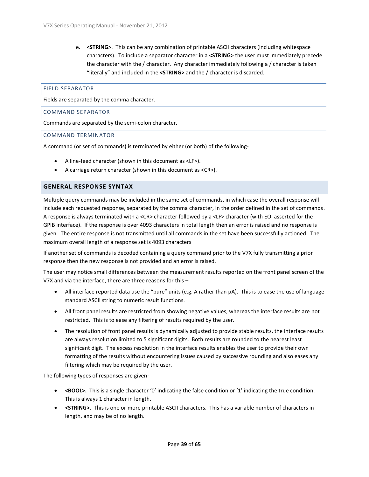e. **<STRING>**. This can be any combination of printable ASCII characters (including whitespace characters). To include a separator character in a **<STRING>** the user must immediately precede the character with the / character. Any character immediately following a / character is taken "literally" and included in the **<STRING>** and the / character is discarded.

#### <span id="page-38-0"></span>FIELD SEPARATOR

Fields are separated by the comma character.

#### <span id="page-38-1"></span>COMMAND SEPARATOR

Commands are separated by the semi-colon character.

#### <span id="page-38-2"></span>COMMAND TERMINATOR

A command (or set of commands) is terminated by either (or both) of the following-

- A line-feed character (shown in this document as <LF>).
- A carriage return character (shown in this document as <CR>).

#### <span id="page-38-3"></span>**GENERAL RESPONSE SYNTAX**

Multiple query commands may be included in the same set of commands, in which case the overall response will include each requested response, separated by the comma character, in the order defined in the set of commands. A response is always terminated with a <CR> character followed by a <LF> character (with EOI asserted for the GPIB interface). If the response is over 4093 characters in total length then an error is raised and no response is given. The entire response is not transmitted until all commands in the set have been successfully actioned. The maximum overall length of a response set is 4093 characters

If another set of commands is decoded containing a query command prior to the V7X fully transmitting a prior response then the new response is not provided and an error is raised.

The user may notice small differences between the measurement results reported on the front panel screen of the V7X and via the interface, there are three reasons for this –

- All interface reported data use the "pure" units (e.g. A rather than µA). This is to ease the use of language standard ASCII string to numeric result functions.
- All front panel results are restricted from showing negative values, whereas the interface results are not restricted. This is to ease any filtering of results required by the user.
- The resolution of front panel results is dynamically adjusted to provide stable results, the interface results are always resolution limited to 5 significant digits. Both results are rounded to the nearest least significant digit. The excess resolution in the interface results enables the user to provide their own formatting of the results without encountering issues caused by successive rounding and also eases any filtering which may be required by the user.

The following types of responses are given-

- **<BOOL>.** This is a single character '0' indicating the false condition or '1' indicating the true condition. This is always 1 character in length.
- **<STRING>**. This is one or more printable ASCII characters. This has a variable number of characters in length, and may be of no length.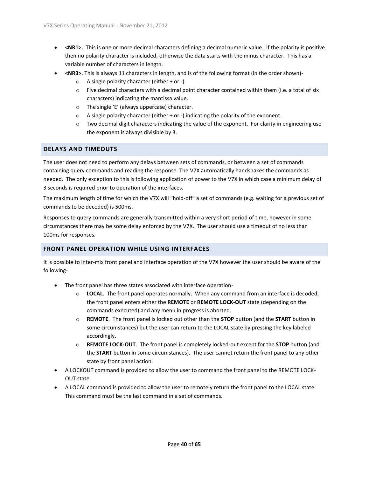- **<NR1>.** This is one or more decimal characters defining a decimal numeric value. If the polarity is positive then no polarity character is included, otherwise the data starts with the minus character. This has a variable number of characters in length.
- **<NR3>.** This is always 11 characters in length, and is of the following format (in the order shown)-
	- $\circ$  A single polarity character (either + or -).
	- $\circ$  Five decimal characters with a decimal point character contained within them (i.e. a total of six characters) indicating the mantissa value.
	- o The single 'E' (always uppercase) character.
	- $\circ$  A single polarity character (either + or -) indicating the polarity of the exponent.
	- $\circ$  Two decimal digit characters indicating the value of the exponent. For clarity in engineering use the exponent is always divisible by 3.

#### <span id="page-39-0"></span>**DELAYS AND TIMEOUTS**

The user does not need to perform any delays between sets of commands, or between a set of commands containing query commands and reading the response. The V7X automatically handshakes the commands as needed. The only exception to this is following application of power to the V7X in which case a minimum delay of 3 seconds is required prior to operation of the interfaces.

The maximum length of time for which the V7X will "hold-off" a set of commands (e.g. waiting for a previous set of commands to be decoded) is 500ms.

Responses to query commands are generally transmitted within a very short period of time, however in some circumstances there may be some delay enforced by the V7X. The user should use a timeout of no less than 100ms for responses.

#### <span id="page-39-1"></span>**FRONT PANEL OPERATION WHILE USING INTERFACES**

It is possible to inter-mix front panel and interface operation of the V7X however the user should be aware of the following-

- The front panel has three states associated with interface operation
	- o **LOCAL**. The front panel operates normally. When any command from an interface is decoded, the front panel enters either the **REMOTE** or **REMOTE LOCK-OUT** state (depending on the commands executed) and any menu in progress is aborted.
	- o **REMOTE**. The front panel is locked out other than the **STOP** button (and the **START** button in some circumstances) but the user can return to the LOCAL state by pressing the key labeled accordingly.
	- o **REMOTE LOCK-OUT**. The front panel is completely locked-out except for the **STOP** button (and the **START** button in some circumstances). The user cannot return the front panel to any other state by front panel action.
- A LOCKOUT command is provided to allow the user to command the front panel to the REMOTE LOCK-OUT state.
- A LOCAL command is provided to allow the user to remotely return the front panel to the LOCAL state. This command must be the last command in a set of commands.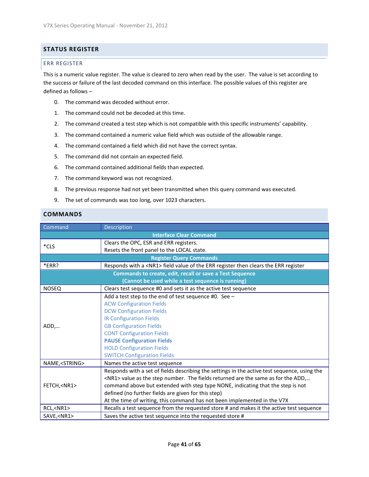#### <span id="page-40-0"></span>**STATUS REGISTER**

#### <span id="page-40-1"></span>ERR REGISTER

This is a numeric value register. The value is cleared to zero when read by the user. The value is set according to the success or failure of the last decoded command on this interface. The possible values of this register are defined as follows –

- 0. The command was decoded without error.
- 1. The command could not be decoded at this time.
- 2. The command created a test step which is not compatible with this specific instruments' capability.
- 3. The command contained a numeric value field which was outside of the allowable range.
- 4. The command contained a field which did not have the correct syntax.
- 5. The command did not contain an expected field.
- 6. The command contained additional fields than expected.
- 7. The command keyword was not recognized.
- 8. The previous response had not yet been transmitted when this query command was executed.
- 9. The set of commands was too long, over 1023 characters.

#### <span id="page-40-2"></span>**COMMANDS**

| Command                 | <b>Description</b>                                                                           |
|-------------------------|----------------------------------------------------------------------------------------------|
|                         | <b>Interface Clear Command</b>                                                               |
| $*$ CLS                 | Clears the OPC, ESR and ERR registers.                                                       |
|                         | Resets the front panel to the LOCAL state.                                                   |
|                         | <b>Register Query Commands</b>                                                               |
| *ERR?                   | Responds with a <nr1> field value of the ERR register then clears the ERR register</nr1>     |
|                         | Commands to create, edit, recall or save a Test Sequence                                     |
|                         | (Cannot be used while a test sequence is running)                                            |
| <b>NOSEQ</b>            | Clears test sequence #0 and sets it as the active test sequence                              |
|                         | Add a test step to the end of test sequence #0. See -                                        |
|                         | <b>ACW Configuration Fields</b>                                                              |
|                         | <b>DCW Configuration Fields</b>                                                              |
|                         | <b>IR Configuration Fields</b>                                                               |
| ADD,                    | <b>GB Configuration Fields</b>                                                               |
|                         | <b>CONT Configuration Fields</b>                                                             |
|                         | <b>PAUSE Configuration Fields</b>                                                            |
|                         | <b>HOLD Configuration Fields</b>                                                             |
|                         | <b>SWITCH Configuration Fields</b>                                                           |
| NAME, <string></string> | Names the active test sequence                                                               |
|                         | Responds with a set of fields describing the settings in the active test sequence, using the |
|                         | <nr1> value as the step number. The fields returned are the same as for the ADD,</nr1>       |
| FETCH, <nr1></nr1>      | command above but extended with step type NONE, indicating that the step is not              |
|                         | defined (no further fields are given for this step)                                          |
|                         | At the time of writing, this command has not been implemented in the V7X                     |
| RCL, <nr1></nr1>        | Recalls a test sequence from the requested store # and makes it the active test sequence     |
| SAVE, <nr1></nr1>       | Saves the active test sequence into the requested store #                                    |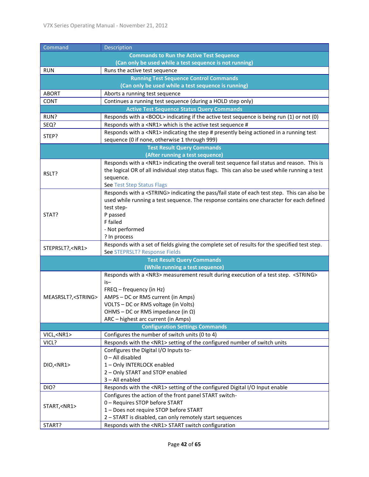| Command                                                 | Description                                                                                                                                                                                                                                                                                                            |  |  |
|---------------------------------------------------------|------------------------------------------------------------------------------------------------------------------------------------------------------------------------------------------------------------------------------------------------------------------------------------------------------------------------|--|--|
| <b>Commands to Run the Active Test Sequence</b>         |                                                                                                                                                                                                                                                                                                                        |  |  |
| (Can only be used while a test sequence is not running) |                                                                                                                                                                                                                                                                                                                        |  |  |
| <b>RUN</b>                                              | Runs the active test sequence                                                                                                                                                                                                                                                                                          |  |  |
|                                                         | <b>Running Test Sequence Control Commands</b>                                                                                                                                                                                                                                                                          |  |  |
|                                                         | (Can only be used while a test sequence is running)                                                                                                                                                                                                                                                                    |  |  |
| <b>ABORT</b>                                            | Aborts a running test sequence                                                                                                                                                                                                                                                                                         |  |  |
| <b>CONT</b>                                             | Continues a running test sequence (during a HOLD step only)                                                                                                                                                                                                                                                            |  |  |
|                                                         | <b>Active Test Sequence Status Query Commands</b>                                                                                                                                                                                                                                                                      |  |  |
| RUN?                                                    | Responds with a <bool> indicating if the active test sequence is being run (1) or not (0)</bool>                                                                                                                                                                                                                       |  |  |
| SEQ?                                                    | Responds with a <nr1> which is the active test sequence #</nr1>                                                                                                                                                                                                                                                        |  |  |
| STEP?                                                   | Responds with a <nr1> indicating the step # presently being actioned in a running test</nr1>                                                                                                                                                                                                                           |  |  |
|                                                         | sequence (0 if none, otherwise 1 through 999)                                                                                                                                                                                                                                                                          |  |  |
|                                                         | <b>Test Result Query Commands</b>                                                                                                                                                                                                                                                                                      |  |  |
|                                                         | (After running a test sequence)                                                                                                                                                                                                                                                                                        |  |  |
| RSLT?                                                   | Responds with a <nr1> indicating the overall test sequence fail status and reason. This is<br/>the logical OR of all individual step status flags. This can also be used while running a test<br/>sequence.</nr1>                                                                                                      |  |  |
|                                                         | See Test Step Status Flags                                                                                                                                                                                                                                                                                             |  |  |
| STAT?                                                   | Responds with a <string> indicating the pass/fail state of each test step. This can also be<br/>used while running a test sequence. The response contains one character for each defined<br/>test step-<br/>P passed<br/>F failed<br/>- Not performed<br/>? In process</string>                                        |  |  |
|                                                         | Responds with a set of fields giving the complete set of results for the specified test step.                                                                                                                                                                                                                          |  |  |
| STEPRSLT?, <nr1></nr1>                                  | See STEPRSLT? Response Fields                                                                                                                                                                                                                                                                                          |  |  |
|                                                         | <b>Test Result Query Commands</b>                                                                                                                                                                                                                                                                                      |  |  |
|                                                         | (While running a test sequence)                                                                                                                                                                                                                                                                                        |  |  |
| MEASRSLT?, <string></string>                            | Responds with a <nr3> measurement result during execution of a test step. <string><br/>is-<br/>FREQ - frequency (in Hz)<br/>AMPS - DC or RMS current (in Amps)<br/>VOLTS - DC or RMS voltage (in Volts)<br/>OHMS – DC or RMS impedance (in <math>\Omega</math>)<br/>ARC - highest arc current (in Amps)</string></nr3> |  |  |
|                                                         | <b>Configuration Settings Commands</b>                                                                                                                                                                                                                                                                                 |  |  |
| VICL, <nr1></nr1>                                       | Configures the number of switch units (0 to 4)                                                                                                                                                                                                                                                                         |  |  |
| VICL?                                                   | Responds with the <nr1> setting of the configured number of switch units</nr1>                                                                                                                                                                                                                                         |  |  |
| DIO, <nr1></nr1>                                        | Configures the Digital I/O Inputs to-<br>0-All disabled<br>1-Only INTERLOCK enabled<br>2 - Only START and STOP enabled<br>3 - All enabled                                                                                                                                                                              |  |  |
| DIO?                                                    | Responds with the <nr1> setting of the configured Digital I/O Input enable</nr1>                                                                                                                                                                                                                                       |  |  |
| START, <nr1></nr1>                                      | Configures the action of the front panel START switch-<br>0 - Requires STOP before START<br>1 - Does not require STOP before START<br>2 - START is disabled, can only remotely start sequences                                                                                                                         |  |  |
| START?                                                  | Responds with the <nr1> START switch configuration</nr1>                                                                                                                                                                                                                                                               |  |  |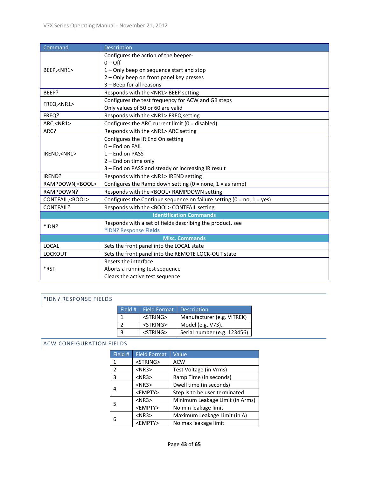| Command                 | Description                                                                  |  |  |
|-------------------------|------------------------------------------------------------------------------|--|--|
|                         | Configures the action of the beeper-                                         |  |  |
|                         | $0 -$ Off                                                                    |  |  |
| BEEP, <nr1></nr1>       | 1 - Only beep on sequence start and stop                                     |  |  |
|                         | 2 - Only beep on front panel key presses                                     |  |  |
|                         | 3 - Beep for all reasons                                                     |  |  |
| BEEP?                   | Responds with the <nr1> BEEP setting</nr1>                                   |  |  |
| FREQ, <nr1></nr1>       | Configures the test frequency for ACW and GB steps                           |  |  |
|                         | Only values of 50 or 60 are valid                                            |  |  |
| FREQ?                   | Responds with the <nr1>FREQ setting</nr1>                                    |  |  |
| ARC, <nr1></nr1>        | Configures the ARC current limit ( $0 =$ disabled)                           |  |  |
| ARC?                    | Responds with the <nr1> ARC setting</nr1>                                    |  |  |
|                         | Configures the IR End On setting                                             |  |  |
|                         | 0-End on FAIL                                                                |  |  |
| IREND, <nr1></nr1>      | $1 -$ End on PASS                                                            |  |  |
|                         | 2 - End on time only                                                         |  |  |
|                         | 3 - End on PASS and steady or increasing IR result                           |  |  |
| IREND?                  | Responds with the <nr1> IREND setting</nr1>                                  |  |  |
| RAMPDOWN, <bool></bool> | Configures the Ramp down setting ( $0 =$ none, $1 =$ as ramp)                |  |  |
| RAMPDOWN?               | Responds with the <bool> RAMPDOWN setting</bool>                             |  |  |
| CONTFAIL, <bool></bool> | Configures the Continue sequence on failure setting ( $0 = no$ , $1 = yes$ ) |  |  |
| <b>CONTFAIL?</b>        | Responds with the <bool> CONTFAIL setting</bool>                             |  |  |
|                         | <b>Identification Commands</b>                                               |  |  |
| $*IDN?$                 | Responds with a set of fields describing the product, see                    |  |  |
|                         | *IDN? Response Fields                                                        |  |  |
| <b>Misc. Commands</b>   |                                                                              |  |  |
| <b>LOCAL</b>            | Sets the front panel into the LOCAL state                                    |  |  |
| <b>LOCKOUT</b>          | Sets the front panel into the REMOTE LOCK-OUT state                          |  |  |
|                         | Resets the interface                                                         |  |  |
| *RST                    | Aborts a running test sequence                                               |  |  |
|                         | Clears the active test sequence                                              |  |  |

### <span id="page-42-2"></span><span id="page-42-0"></span>\*IDN? RESPONSE FIELDS

|    | Field #   Field Format | <b>Description</b>          |
|----|------------------------|-----------------------------|
|    | <string></string>      | Manufacturer (e.g. VITREK)  |
|    | <string></string>      | Model (e.g. V73).           |
| ્ર | $<$ STRING $>$         | Serial number (e.g. 123456) |

#### <span id="page-42-1"></span>ACW CONFIGURATION FIELDS

| Field #      | <b>Field Format</b> | Value                           |
|--------------|---------------------|---------------------------------|
| $\mathbf{1}$ | <string></string>   | <b>ACW</b>                      |
| 2            | $<$ NR3 $>$         | Test Voltage (in Vrms)          |
| 3            | $<$ NR3 $>$         | Ramp Time (in seconds)          |
| 4            | $<$ NR3 $>$         | Dwell time (in seconds)         |
|              | <empty></empty>     | Step is to be user terminated   |
| 5            | $<$ NR3 $>$         | Minimum Leakage Limit (in Arms) |
|              | <empty></empty>     | No min leakage limit            |
| 6            | $<$ NR3 $>$         | Maximum Leakage Limit (in A)    |
|              | <empty></empty>     | No max leakage limit            |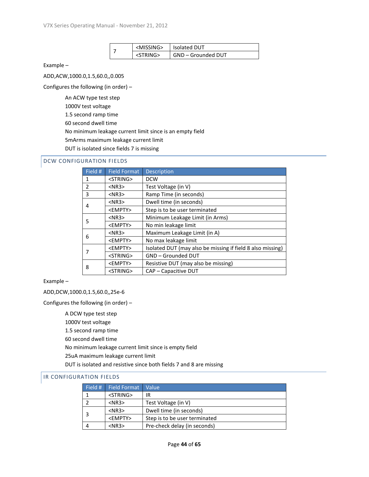|  | <missing></missing> | <b>Isolated DUT</b> |
|--|---------------------|---------------------|
|  | $<$ STRING $>$      | GND - Grounded DUT  |

Example –

ADD,ACW,1000.0,1.5,60.0,,0.005

Configures the following (in order) –

An ACW type test step

1000V test voltage

1.5 second ramp time

60 second dwell time

No minimum leakage current limit since is an empty field

5mArms maximum leakage current limit

DUT is isolated since fields 7 is missing

#### <span id="page-43-0"></span>DCW CONFIGURATION FIELDS

| Field #                                  | <b>Field Format</b>                            | <b>Description</b>                                         |  |
|------------------------------------------|------------------------------------------------|------------------------------------------------------------|--|
| 1                                        | <string></string>                              | <b>DCW</b>                                                 |  |
| $\overline{2}$                           | $<$ NR3 $>$                                    | Test Voltage (in V)                                        |  |
| 3                                        | $<$ NR3 $>$                                    | Ramp Time (in seconds)                                     |  |
| 4                                        | $<$ NR3 $>$                                    | Dwell time (in seconds)                                    |  |
|                                          | <empty></empty>                                | Step is to be user terminated                              |  |
| 5                                        | Minimum Leakage Limit (in Arms)<br>$<$ NR3 $>$ |                                                            |  |
|                                          | <empty></empty>                                | No min leakage limit                                       |  |
| 6                                        | $<$ NR3 $>$                                    | Maximum Leakage Limit (in A)                               |  |
| <empty><br/>No max leakage limit</empty> |                                                |                                                            |  |
| 7                                        | <empty></empty>                                | Isolated DUT (may also be missing if field 8 also missing) |  |
|                                          | <string></string>                              | <b>GND-Grounded DUT</b>                                    |  |
| 8                                        | <empty></empty>                                | Resistive DUT (may also be missing)                        |  |
|                                          | <string></string>                              | CAP - Capacitive DUT                                       |  |

Example –

ADD,DCW,1000.0,1.5,60.0,,25e-6

Configures the following (in order) –

A DCW type test step

1000V test voltage

1.5 second ramp time

60 second dwell time

No minimum leakage current limit since is empty field

25uA maximum leakage current limit

DUT is isolated and resistive since both fields 7 and 8 are missing

#### <span id="page-43-1"></span>IR CONFIGURATION FIELDS

| Field #         | Field Format      | <b>Value</b>                  |  |
|-----------------|-------------------|-------------------------------|--|
|                 | <string></string> | IR                            |  |
|                 | $<$ NR3 $>$       | Test Voltage (in V)           |  |
|                 | $<$ NR3 $>$       | Dwell time (in seconds)       |  |
| <fmpty></fmpty> |                   | Step is to be user terminated |  |
|                 | $<$ NR3 $>$       | Pre-check delay (in seconds)  |  |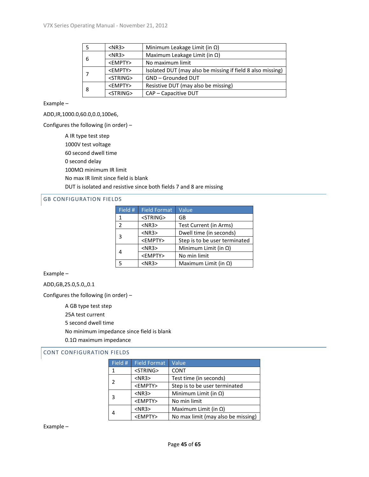|                   | $<$ NR3 $>$                          | Minimum Leakage Limit (in $\Omega$ )                       |  |
|-------------------|--------------------------------------|------------------------------------------------------------|--|
| 6                 | $<$ NR3 $>$                          | Maximum Leakage Limit (in $\Omega$ )                       |  |
|                   | <empty><br/>No maximum limit</empty> |                                                            |  |
|                   | <empty></empty>                      | Isolated DUT (may also be missing if field 8 also missing) |  |
| <string></string> |                                      | GND - Grounded DUT                                         |  |
|                   | <empty></empty>                      | Resistive DUT (may also be missing)                        |  |
| 8                 | <string></string>                    | CAP - Capacitive DUT                                       |  |

Example –

ADD,IR,1000.0,60.0,0.0,100e6,

Configures the following (in order) –

A IR type test step 1000V test voltage 60 second dwell time 0 second delay 100MΩ minimum IR limit No max IR limit since field is blank DUT is isolated and resistive since both fields 7 and 8 are missing

#### <span id="page-44-0"></span>GB CONFIGURATION FIELDS

| Field #       | <b>Field Format</b> | Value                         |
|---------------|---------------------|-------------------------------|
| 1             | <string></string>   | GB                            |
| $\mathcal{P}$ | $<$ NR3 $>$         | Test Current (in Arms)        |
| 3             | $<$ NR3 $>$         | Dwell time (in seconds)       |
|               | <empty></empty>     | Step is to be user terminated |
|               | $<$ NR3 $>$         | Minimum Limit (in $\Omega$ )  |
|               | <empty></empty>     | No min limit                  |
|               | $<$ NR3 $>$         | Maximum Limit (in $\Omega$ )  |

Example –

ADD,GB,25.0,5.0,,0.1

Configures the following (in order) –

A GB type test step 25A test current 5 second dwell time No minimum impedance since field is blank 0.1Ω maximum impedance

#### <span id="page-44-1"></span>CONT CONFIGURATION FIELDS

| Field # | <b>Field Format</b> | Value                              |
|---------|---------------------|------------------------------------|
| 1       | <string></string>   | <b>CONT</b>                        |
| 2       | $<$ NR3 $>$         | Test time (in seconds)             |
|         | <empty></empty>     | Step is to be user terminated      |
| 3       | $<$ NR3 $>$         | Minimum Limit (in $\Omega$ )       |
|         | <empty></empty>     | No min limit                       |
| 4       | $<$ NR3 $>$         | Maximum Limit (in $\Omega$ )       |
|         | <empty></empty>     | No max limit (may also be missing) |

Example –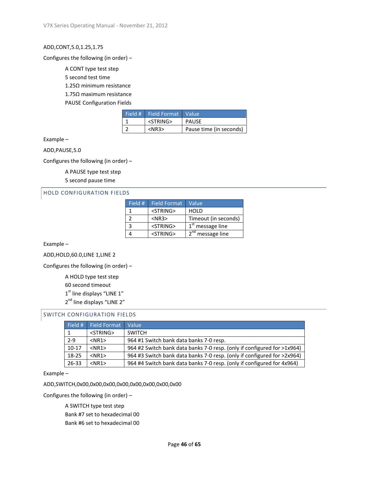#### ADD,CONT,5.0,1.25,1.75

#### Configures the following (in order) –

A CONT type test step

5 second test time

1.25Ω minimum resistance

1.75Ω maximum resistance

PAUSE Configuration Fields

| Field # Field Format Value |                         |
|----------------------------|-------------------------|
| <string></string>          | <b>PAUSE</b>            |
| $<$ NR3 $>$                | Pause time (in seconds) |

Example –

ADD,PAUSE,5.0

Configures the following (in order) –

A PAUSE type test step 5 second pause time

#### <span id="page-45-0"></span>HOLD CONFIGURATION FIELDS

| Field # | <b>Field Format</b> | Value                      |
|---------|---------------------|----------------------------|
|         | <string></string>   | <b>HOLD</b>                |
|         | $<$ NR3 $>$         | Timeout (in seconds)       |
| 3       | <string></string>   | $1st$ message line         |
|         | <string></string>   | $2^{nd}$<br>' message line |

Example –

ADD,HOLD,60.0,LINE 1,LINE 2

Configures the following (in order) –

A HOLD type test step

60 second timeout

 $1<sup>st</sup>$  line displays "LINE  $1"$ 

2<sup>nd</sup> line displays "LINE 2"

#### <span id="page-45-1"></span>SWITCH CONFIGURATION FIELDS

| Field # | Field Format      | Value                                                                   |
|---------|-------------------|-------------------------------------------------------------------------|
|         | <string></string> | <b>SWITCH</b>                                                           |
| $2 - 9$ | $<$ NR1 $>$       | 964 #1 Switch bank data banks 7-0 resp.                                 |
| $10-17$ | $<$ NR1 $>$       | 964 #2 Switch bank data banks 7-0 resp. (only if configured for >1x964) |
| 18-25   | $<$ NR1 $>$       | 964 #3 Switch bank data banks 7-0 resp. (only if configured for >2x964) |
| 26-33   | $<$ NR1 $>$       | 964 #4 Switch bank data banks 7-0 resp. (only if configured for 4x964)  |

Example –

ADD,SWITCH,0x00,0x00,0x00,0x00,0x00,0x00,0x00,0x00

Configures the following (in order) –

A SWITCH type test step Bank #7 set to hexadecimal 00 Bank #6 set to hexadecimal 00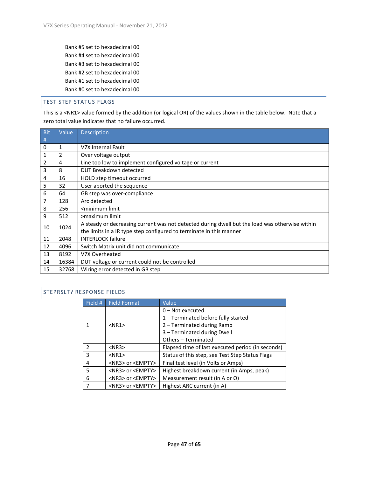Bank #5 set to hexadecimal 00 Bank #4 set to hexadecimal 00 Bank #3 set to hexadecimal 00 Bank #2 set to hexadecimal 00 Bank #1 set to hexadecimal 00 Bank #0 set to hexadecimal 00

#### <span id="page-46-0"></span>TEST STEP STATUS FLAGS

This is a <NR1> value formed by the addition (or logical OR) of the values shown in the table below. Note that a zero total value indicates that no failure occurred.

| <b>Bit</b> | Value      | Description                                                                                    |
|------------|------------|------------------------------------------------------------------------------------------------|
| #          |            |                                                                                                |
| $\Omega$   | 1          | V7X Internal Fault                                                                             |
| 1          | 2          | Over voltage output                                                                            |
| 2          | 4          | Line too low to implement configured voltage or current                                        |
| 3          | 8          | DUT Breakdown detected                                                                         |
| 4          | 16         | HOLD step timeout occurred                                                                     |
| 5          | 32         | User aborted the sequence                                                                      |
| 6          | 64         | GB step was over-compliance                                                                    |
| 7          | 128        | Arc detected                                                                                   |
| 8          | 256        | <minimum limit<="" td=""></minimum>                                                            |
| 9          | 512        | >maximum limit                                                                                 |
|            | 1024<br>10 | A steady or decreasing current was not detected during dwell but the load was otherwise within |
|            |            | the limits in a IR type step configured to terminate in this manner                            |
| 11         | 2048       | <b>INTERLOCK failure</b>                                                                       |
| 12         | 4096       | Switch Matrix unit did not communicate                                                         |
| 13         | 8192       | V7X Overheated                                                                                 |
| 14         | 16384      | DUT voltage or current could not be controlled                                                 |
| 15         | 32768      | Wiring error detected in GB step                                                               |

#### <span id="page-46-1"></span>STEPRSLT? RESPONSE FIELDS

| Field #       | <b>Field Format</b>            | Value                                             |
|---------------|--------------------------------|---------------------------------------------------|
|               |                                | $0$ – Not executed                                |
|               |                                | 1 - Terminated before fully started               |
|               | $<$ NR1 $>$                    | 2 - Terminated during Ramp                        |
|               |                                | 3 - Terminated during Dwell                       |
|               |                                | Others - Terminated                               |
| $\mathcal{P}$ | $<$ NR3 $>$                    | Elapsed time of last executed period (in seconds) |
| 3             | $<$ NR1 $>$                    | Status of this step, see Test Step Status Flags   |
| 4             | <nr3> or <empty></empty></nr3> | Final test level (in Volts or Amps)               |
| 5             | $<$ NR3> or $<$ EMPTY>         | Highest breakdown current (in Amps, peak)         |
| 6             | $<$ NR3> or $<$ EMPTY>         | Measurement result (in A or $\Omega$ )            |
| 7             | <nr3> or <empty></empty></nr3> | Highest ARC current (in A)                        |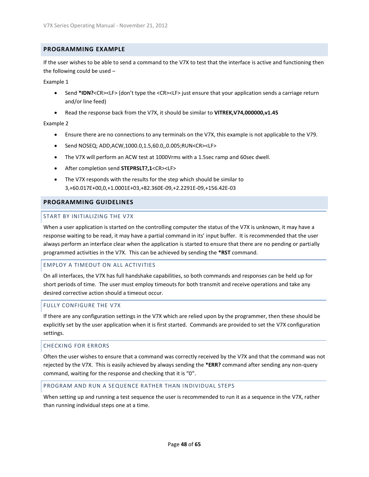#### <span id="page-47-0"></span>**PROGRAMMING EXAMPLE**

If the user wishes to be able to send a command to the V7X to test that the interface is active and functioning then the following could be used –

Example 1

- Send \*IDN?<CR><LF> (don't type the <CR><LF> just ensure that your application sends a carriage return and/or line feed)
- Read the response back from the V7X, it should be similar to **VITREK,V74,000000,v1.45**

#### Example 2

- Ensure there are no connections to any terminals on the V7X, this example is not applicable to the V79.
- Send NOSEQ; ADD,ACW,1000.0,1.5,60.0,,0.005;RUN<CR><LF>
- The V7X will perform an ACW test at 1000Vrms with a 1.5sec ramp and 60sec dwell.
- After completion send **STEPRSLT?,1**<CR><LF>
- The V7X responds with the results for the step which should be similar to 3,+60.017E+00,0,+1.0001E+03,+82.360E-09,+2.2291E-09,+156.42E-03

#### <span id="page-47-1"></span>**PROGRAMMING GUIDELINES**

#### <span id="page-47-2"></span>START BY INITIALIZING THE V7X

When a user application is started on the controlling computer the status of the V7X is unknown, it may have a response waiting to be read, it may have a partial command in its' input buffer. It is recommended that the user always perform an interface clear when the application is started to ensure that there are no pending or partially programmed activities in the V7X. This can be achieved by sending the **\*RST** command.

#### <span id="page-47-3"></span>EMPLOY A TIMEOUT ON ALL ACTIVITIES

On all interfaces, the V7X has full handshake capabilities, so both commands and responses can be held up for short periods of time. The user must employ timeouts for both transmit and receive operations and take any desired corrective action should a timeout occur.

#### <span id="page-47-4"></span>FULLY CONFIGURE THE V7X

If there are any configuration settings in the V7X which are relied upon by the programmer, then these should be explicitly set by the user application when it is first started. Commands are provided to set the V7X configuration settings.

#### <span id="page-47-5"></span>CHECKING FOR ERRORS

Often the user wishes to ensure that a command was correctly received by the V7X and that the command was not rejected by the V7X. This is easily achieved by always sending the **\*ERR?** command after sending any non-query command, waiting for the response and checking that it is "0".

#### <span id="page-47-6"></span>PROGRAM AND RUN A SEQUENCE RATHER THAN INDIVIDUAL STEPS

When setting up and running a test sequence the user is recommended to run it as a sequence in the V7X, rather than running individual steps one at a time.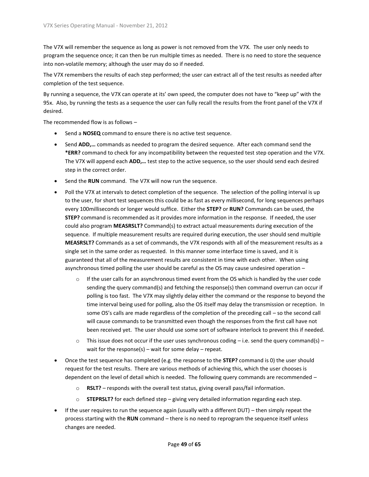The V7X will remember the sequence as long as power is not removed from the V7X. The user only needs to program the sequence once; it can then be run multiple times as needed. There is no need to store the sequence into non-volatile memory; although the user may do so if needed.

The V7X remembers the results of each step performed; the user can extract all of the test results as needed after completion of the test sequence.

By running a sequence, the V7X can operate at its' own speed, the computer does not have to "keep up" with the 95x. Also, by running the tests as a sequence the user can fully recall the results from the front panel of the V7X if desired.

The recommended flow is as follows –

- Send a **NOSEQ** command to ensure there is no active test sequence.
- Send **ADD,…** commands as needed to program the desired sequence. After each command send the **\*ERR?** command to check for any incompatibility between the requested test step operation and the V7X. The V7X will append each **ADD,…** test step to the active sequence, so the user should send each desired step in the correct order.
- Send the **RUN** command. The V7X will now run the sequence.
- Poll the V7X at intervals to detect completion of the sequence. The selection of the polling interval is up to the user, for short test sequences this could be as fast as every millisecond, for long sequences perhaps every 100milliseconds or longer would suffice. Either the **STEP?** or **RUN?** Commands can be used, the **STEP?** command is recommended as it provides more information in the response. If needed, the user could also program **MEASRSLT?** Command(s) to extract actual measurements during execution of the sequence. If multiple measurement results are required during execution, the user should send multiple **MEASRSLT?** Commands as a set of commands, the V7X responds with all of the measurement results as a single set in the same order as requested. In this manner some interface time is saved, and it is guaranteed that all of the measurement results are consistent in time with each other. When using asynchronous timed polling the user should be careful as the OS may cause undesired operation –
	- $\circ$  If the user calls for an asynchronous timed event from the OS which is handled by the user code sending the query command(s) and fetching the response(s) then command overrun can occur if polling is too fast. The V7X may slightly delay either the command or the response to beyond the time interval being used for polling, also the OS itself may delay the transmission or reception. In some OS's calls are made regardless of the completion of the preceding call – so the second call will cause commands to be transmitted even though the responses from the first call have not been received yet. The user should use some sort of software interlock to prevent this if needed.
	- $\circ$  This issue does not occur if the user uses synchronous coding i.e. send the query command(s) wait for the response(s) – wait for some delay – repeat.
- Once the test sequence has completed (e.g. the response to the **STEP?** command is 0) the user should request for the test results. There are various methods of achieving this, which the user chooses is dependent on the level of detail which is needed. The following query commands are recommended –
	- o **RSLT?** responds with the overall test status, giving overall pass/fail information.
	- o **STEPRSLT?** for each defined step giving very detailed information regarding each step.
- If the user requires to run the sequence again (usually with a different DUT) then simply repeat the process starting with the **RUN** command – there is no need to reprogram the sequence itself unless changes are needed.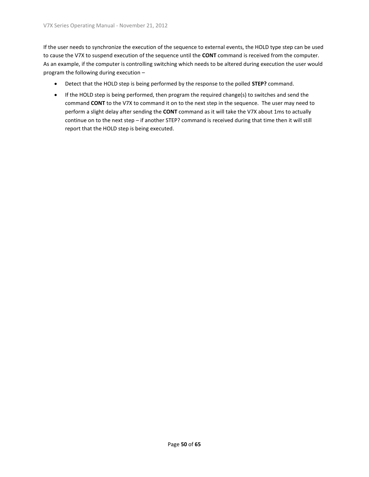If the user needs to synchronize the execution of the sequence to external events, the HOLD type step can be used to cause the V7X to suspend execution of the sequence until the **CONT** command is received from the computer. As an example, if the computer is controlling switching which needs to be altered during execution the user would program the following during execution –

- Detect that the HOLD step is being performed by the response to the polled **STEP?** command.
- If the HOLD step is being performed, then program the required change(s) to switches and send the command **CONT** to the V7X to command it on to the next step in the sequence. The user may need to perform a slight delay after sending the **CONT** command as it will take the V7X about 1ms to actually continue on to the next step – if another STEP? command is received during that time then it will still report that the HOLD step is being executed.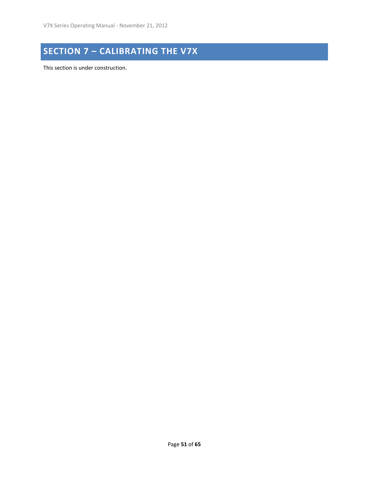## <span id="page-50-0"></span>**SECTION 7 – CALIBRATING THE V7X**

This section is under construction.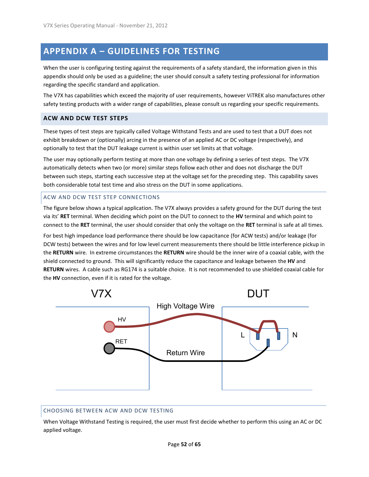## <span id="page-51-0"></span>**APPENDIX A – GUIDELINES FOR TESTING**

When the user is configuring testing against the requirements of a safety standard, the information given in this appendix should only be used as a guideline; the user should consult a safety testing professional for information regarding the specific standard and application.

The V7X has capabilities which exceed the majority of user requirements, however ViTREK also manufactures other safety testing products with a wider range of capabilities, please consult us regarding your specific requirements.

#### <span id="page-51-1"></span>**ACW AND DCW TEST STEPS**

These types of test steps are typically called Voltage Withstand Tests and are used to test that a DUT does not exhibit breakdown or (optionally) arcing in the presence of an applied AC or DC voltage (respectively), and optionally to test that the DUT leakage current is within user set limits at that voltage.

The user may optionally perform testing at more than one voltage by defining a series of test steps. The V7X automatically detects when two (or more) similar steps follow each other and does not discharge the DUT between such steps, starting each successive step at the voltage set for the preceding step. This capability saves both considerable total test time and also stress on the DUT in some applications.

#### <span id="page-51-2"></span>ACW AND DCW TEST STEP CONNECTIONS

The figure below shows a typical application. The V7X always provides a safety ground for the DUT during the test via its' **RET** terminal. When deciding which point on the DUT to connect to the **HV** terminal and which point to connect to the **RET** terminal, the user should consider that only the voltage on the **RET** terminal is safe at all times.

For best high impedance load performance there should be low capacitance (for ACW tests) and/or leakage (for DCW tests) between the wires and for low level current measurements there should be little interference pickup in the **RETURN** wire. In extreme circumstances the **RETURN** wire should be the inner wire of a coaxial cable, with the shield connected to ground. This will significantly reduce the capacitance and leakage between the **HV** and **RETURN** wires. A cable such as RG174 is a suitable choice. It is not recommended to use shielded coaxial cable for the **HV** connection, even if it is rated for the voltage.



#### <span id="page-51-3"></span>CHOOSING BETWEEN ACW AND DCW TESTING

When Voltage Withstand Testing is required, the user must first decide whether to perform this using an AC or DC applied voltage.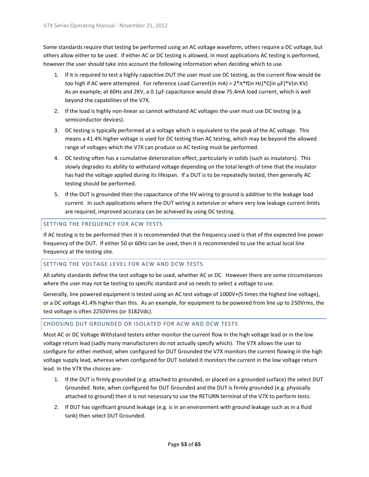Some standards require that testing be performed using an AC voltage waveform, others require a DC voltage, but others allow either to be used. If either AC or DC testing is allowed, in most applications AC testing is performed, however the user should take into account the following information when deciding which to use.

- 1. If it is required to test a highly capacitive DUT the user must use DC testing, as the current flow would be too high if AC were attempted. For reference Load Current(in mA) =  $2*\pi*$  f(in Hz)\*C(in  $\mu$ F)\*V(in KV) As an example, at 60Hz and 2KV, a 0.1µF capacitance would draw 75.4mA load current, which is well beyond the capabilities of the V7X.
- 2. If the load is highly non-linear so cannot withstand AC voltages the user must use DC testing (e.g. semiconductor devices).
- 3. DC testing is typically performed at a voltage which is equivalent to the peak of the AC voltage. This means a 41.4% higher voltage is used for DC testing than AC testing, which may be beyond the allowed range of voltages which the V7X can produce so AC testing must be performed.
- 4. DC testing often has a cumulative deterioration effect, particularly in solids (such as insulators). This slowly degrades its ability to withstand voltage depending on the total length of time that the insulator has had the voltage applied during its lifespan. If a DUT is to be repeatedly tested, then generally AC testing should be performed.
- 5. If the DUT is grounded then the capacitance of the HV wiring to ground is additive to the leakage load current. In such applications where the DUT wiring is extensive or where very low leakage current limits are required, improved accuracy can be achieved by using DC testing.

#### <span id="page-52-0"></span>SETTING THE FREQUENCY FOR ACW TESTS

If AC testing is to be performed then it is recommended that the frequency used is that of the expected line power frequency of the DUT. If either 50 or 60Hz can be used, then it is recommended to use the actual local line frequency at the testing site.

#### <span id="page-52-1"></span>SETTING THE VOLTAGE LEVEL FOR ACW AND DCW TESTS

All safety standards define the test voltage to be used, whether AC or DC. However there are some circumstances where the user may not be testing to specific standard and so needs to select a voltage to use.

Generally, line powered equipment is tested using an AC test voltage of 1000V+(5 times the highest line voltage), or a DC voltage 41.4% higher than this. As an example, for equipment to be powered from line up to 250Vrms, the test voltage is often 2250Vrms (or 3182Vdc).

#### <span id="page-52-2"></span>CHOOSING DUT GROUNDED OR ISOLATED FOR ACW AND DCW TESTS

Most AC or DC Voltage Withstand testers either monitor the current flow in the high voltage lead or in the low voltage return lead (sadly many manufacturers do not actually specify which). The V7X allows the user to configure for either method; when configured for DUT Grounded the V7X monitors the current flowing in the high voltage supply lead, whereas when configured for DUT Isolated it monitors the current in the low voltage return lead. In the V7X the choices are-

- 1. If the DUT is firmly grounded (e.g. attached to grounded, or placed on a grounded surface) the select DUT Grounded. Note, when configured for DUT Grounded and the DUT is firmly grounded (e.g. physically attached to ground) then it is not necessary to use the RETURN terminal of the V7X to perform tests.
- 2. If DUT has significant ground leakage (e.g. is in an environment with ground leakage such as in a fluid tank) then select DUT Grounded.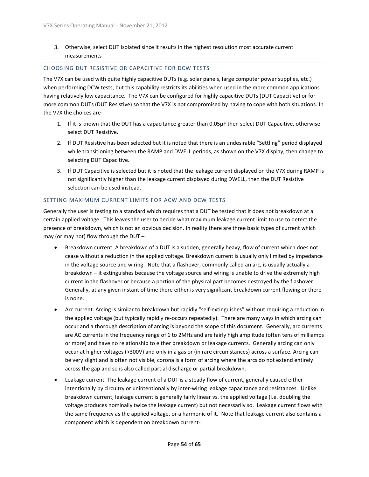#### 3. Otherwise, select DUT Isolated since it results in the highest resolution most accurate current measurements

#### <span id="page-53-0"></span>CHOOSING DUT RESISTIVE OR CAPACITIVE FOR DCW TESTS

The V7X can be used with quite highly capacitive DUTs (e.g. solar panels, large computer power supplies, etc.) when performing DCW tests, but this capability restricts its abilities when used in the more common applications having relatively low capacitance. The V7X can be configured for highly capacitive DUTs (DUT Capacitive) or for more common DUTs (DUT Resistive) so that the V7X is not compromised by having to cope with both situations. In the V7X the choices are-

- 1. If it is known that the DUT has a capacitance greater than 0.05µF then select DUT Capacitive, otherwise select DUT Resistive.
- 2. If DUT Resistive has been selected but it is noted that there is an undesirable "Settling" period displayed while transitioning between the RAMP and DWELL periods, as shown on the V7X display, then change to selecting DUT Capacitive.
- 3. If DUT Capacitive is selected but it is noted that the leakage current displayed on the V7X during RAMP is not significantly higher than the leakage current displayed during DWELL, then the DUT Resistive selection can be used instead.

#### <span id="page-53-1"></span>SETTING MAXIMUM CURRENT LIMITS FOR ACW AND DCW TESTS

Generally the user is testing to a standard which requires that a DUT be tested that it does not breakdown at a certain applied voltage. This leaves the user to decide what maximum leakage current limit to use to detect the presence of breakdown, which is not an obvious decision. In reality there are three basic types of current which may (or may not) flow through the DUT –

- Breakdown current. A breakdown of a DUT is a sudden, generally heavy, flow of current which does not cease without a reduction in the applied voltage. Breakdown current is usually only limited by impedance in the voltage source and wiring. Note that a flashover, commonly called an arc, is usually actually a breakdown – it extinguishes because the voltage source and wiring is unable to drive the extremely high current in the flashover or because a portion of the physical part becomes destroyed by the flashover. Generally, at any given instant of time there either is very significant breakdown current flowing or there is none.
- Arc current. Arcing is similar to breakdown but rapidly "self-extinguishes" without requiring a reduction in the applied voltage (but typically rapidly re-occurs repeatedly). There are many ways in which arcing can occur and a thorough description of arcing is beyond the scope of this document. Generally, arc currents are AC currents in the frequency range of 1 to 2MHz and are fairly high amplitude (often tens of milliamps or more) and have no relationship to either breakdown or leakage currents. Generally arcing can only occur at higher voltages (>300V) and only in a gas or (in rare circumstances) across a surface. Arcing can be very slight and is often not visible, corona is a form of arcing where the arcs do not extend entirely across the gap and so is also called partial discharge or partial breakdown.
- Leakage current. The leakage current of a DUT is a steady flow of current, generally caused either intentionally by circuitry or unintentionally by inter-wiring leakage capacitance and resistances. Unlike breakdown current, leakage current is generally fairly linear vs. the applied voltage (i.e. doubling the voltage produces nominally twice the leakage current) but not necessarily so. Leakage current flows with the same frequency as the applied voltage, or a harmonic of it. Note that leakage current also contains a component which is dependent on breakdown current-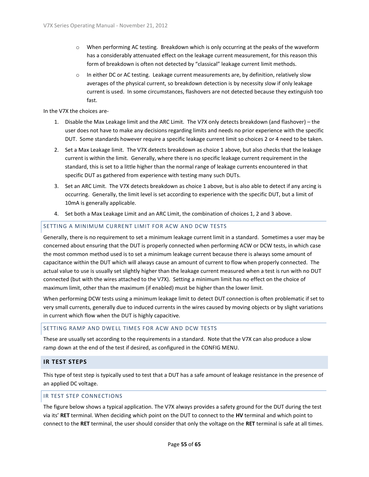- o When performing AC testing. Breakdown which is only occurring at the peaks of the waveform has a considerably attenuated effect on the leakage current measurement, for this reason this form of breakdown is often not detected by "classical" leakage current limit methods.
- o In either DC or AC testing. Leakage current measurements are, by definition, relatively slow averages of the physical current, so breakdown detection is by necessity slow if only leakage current is used. In some circumstances, flashovers are not detected because they extinguish too fast.

In the V7X the choices are-

- 1. Disable the Max Leakage limit and the ARC Limit. The V7X only detects breakdown (and flashover) the user does not have to make any decisions regarding limits and needs no prior experience with the specific DUT. Some standards however require a specific leakage current limit so choices 2 or 4 need to be taken.
- 2. Set a Max Leakage limit. The V7X detects breakdown as choice 1 above, but also checks that the leakage current is within the limit. Generally, where there is no specific leakage current requirement in the standard, this is set to a little higher than the normal range of leakage currents encountered in that specific DUT as gathered from experience with testing many such DUTs.
- 3. Set an ARC Limit. The V7X detects breakdown as choice 1 above, but is also able to detect if any arcing is occurring. Generally, the limit level is set according to experience with the specific DUT, but a limit of 10mA is generally applicable.
- 4. Set both a Max Leakage Limit and an ARC Limit, the combination of choices 1, 2 and 3 above.

#### <span id="page-54-0"></span>SETTING A MINIMUM CURRENT LIMIT FOR ACW AND DCW TESTS

Generally, there is no requirement to set a minimum leakage current limit in a standard. Sometimes a user may be concerned about ensuring that the DUT is properly connected when performing ACW or DCW tests, in which case the most common method used is to set a minimum leakage current because there is always some amount of capacitance within the DUT which will always cause an amount of current to flow when properly connected. The actual value to use is usually set slightly higher than the leakage current measured when a test is run with no DUT connected (but with the wires attached to the V7X). Setting a minimum limit has no effect on the choice of maximum limit, other than the maximum (if enabled) must be higher than the lower limit.

When performing DCW tests using a minimum leakage limit to detect DUT connection is often problematic if set to very small currents, generally due to induced currents in the wires caused by moving objects or by slight variations in current which flow when the DUT is highly capacitive.

#### <span id="page-54-1"></span>SETTING RAMP AND DWELL TIMES FOR ACW AND DCW TESTS

These are usually set according to the requirements in a standard. Note that the V7X can also produce a slow ramp down at the end of the test if desired, as configured in the CONFIG MENU.

#### <span id="page-54-2"></span>**IR TEST STEPS**

This type of test step is typically used to test that a DUT has a safe amount of leakage resistance in the presence of an applied DC voltage.

#### <span id="page-54-3"></span>IR TEST STEP CONNECTIONS

The figure below shows a typical application. The V7X always provides a safety ground for the DUT during the test via its' **RET** terminal. When deciding which point on the DUT to connect to the **HV** terminal and which point to connect to the **RET** terminal, the user should consider that only the voltage on the **RET** terminal is safe at all times.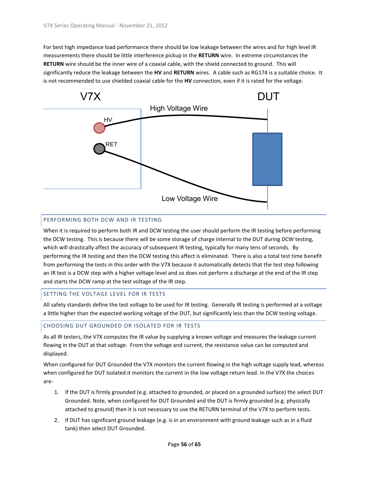For best high impedance load performance there should be low leakage between the wires and for high level IR measurements there should be little interference pickup in the **RETURN** wire. In extreme circumstances the **RETURN** wire should be the inner wire of a coaxial cable, with the shield connected to ground. This will significantly reduce the leakage between the **HV** and **RETURN** wires. A cable such as RG174 is a suitable choice. It is not recommended to use shielded coaxial cable for the **HV** connection, even if it is rated for the voltage.



#### <span id="page-55-0"></span>PERFORMING BOTH DCW AND IR TESTING

When it is required to perform both IR and DCW testing the user should perform the IR testing before performing the DCW testing. This is because there will be some storage of charge internal to the DUT during DCW testing, which will drastically affect the accuracy of subsequent IR testing, typically for many tens of seconds. By performing the IR testing and then the DCW testing this affect is eliminated. There is also a total test time benefit from performing the tests in this order with the V7X because it automatically detects that the test step following an IR test is a DCW step with a higher voltage level and so does not perform a discharge at the end of the IR step and starts the DCW ramp at the test voltage of the IR step.

#### <span id="page-55-1"></span>SETTING THE VOLTAGE LEVEL FOR IR TESTS

All safety standards define the test voltage to be used for IR testing. Generally IR testing is performed at a voltage a little higher than the expected working voltage of the DUT, but significantly less than the DCW testing voltage.

#### <span id="page-55-2"></span>CHOOSING DUT GROUNDED OR ISOLATED FOR IR TESTS

As all IR testers, the V7X computes the IR value by supplying a known voltage and measures the leakage current flowing in the DUT at that voltage. From the voltage and current, the resistance value can be computed and displayed.

When configured for DUT Grounded the V7X monitors the current flowing in the high voltage supply lead, whereas when configured for DUT Isolated it monitors the current in the low voltage return lead. In the V7X the choices are-

- 1. If the DUT is firmly grounded (e.g. attached to grounded, or placed on a grounded surface) the select DUT Grounded. Note, when configured for DUT Grounded and the DUT is firmly grounded (e.g. physically attached to ground) then it is not necessary to use the RETURN terminal of the V7X to perform tests.
- 2. If DUT has significant ground leakage (e.g. is in an environment with ground leakage such as in a fluid tank) then select DUT Grounded.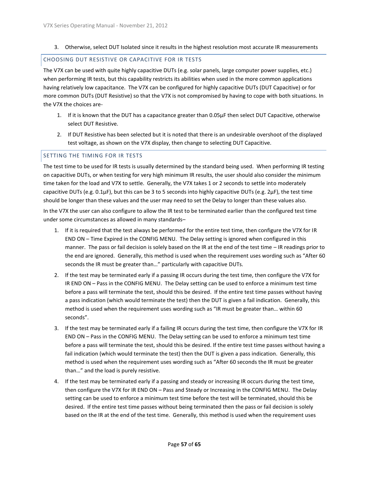3. Otherwise, select DUT Isolated since it results in the highest resolution most accurate IR measurements

#### <span id="page-56-0"></span>CHOOSING DUT RESISTIVE OR CAPACITIVE FOR IR TESTS

The V7X can be used with quite highly capacitive DUTs (e.g. solar panels, large computer power supplies, etc.) when performing IR tests, but this capability restricts its abilities when used in the more common applications having relatively low capacitance. The V7X can be configured for highly capacitive DUTs (DUT Capacitive) or for more common DUTs (DUT Resistive) so that the V7X is not compromised by having to cope with both situations. In the V7X the choices are-

- 1. If it is known that the DUT has a capacitance greater than 0.05µF then select DUT Capacitive, otherwise select DUT Resistive.
- 2. If DUT Resistive has been selected but it is noted that there is an undesirable overshoot of the displayed test voltage, as shown on the V7X display, then change to selecting DUT Capacitive.

#### <span id="page-56-1"></span>SETTING THE TIMING FOR IR TESTS

The test time to be used for IR tests is usually determined by the standard being used. When performing IR testing on capacitive DUTs, or when testing for very high minimum IR results, the user should also consider the minimum time taken for the load and V7X to settle. Generally, the V7X takes 1 or 2 seconds to settle into moderately capacitive DUTs (e.g. 0.1µF), but this can be 3 to 5 seconds into highly capacitive DUTs (e.g. 2µF), the test time should be longer than these values and the user may need to set the Delay to longer than these values also.

In the V7X the user can also configure to allow the IR test to be terminated earlier than the configured test time under some circumstances as allowed in many standards–

- 1. If it is required that the test always be performed for the entire test time, then configure the V7X for IR END ON – Time Expired in the CONFIG MENU. The Delay setting is ignored when configured in this manner. The pass or fail decision is solely based on the IR at the end of the test time – IR readings prior to the end are ignored. Generally, this method is used when the requirement uses wording such as "After 60 seconds the IR must be greater than…" particularly with capacitive DUTs.
- 2. If the test may be terminated early if a passing IR occurs during the test time, then configure the V7X for IR END ON – Pass in the CONFIG MENU. The Delay setting can be used to enforce a minimum test time before a pass will terminate the test, should this be desired. If the entire test time passes without having a pass indication (which would terminate the test) then the DUT is given a fail indication. Generally, this method is used when the requirement uses wording such as "IR must be greater than… within 60 seconds".
- 3. If the test may be terminated early if a failing IR occurs during the test time, then configure the V7X for IR END ON – Pass in the CONFIG MENU. The Delay setting can be used to enforce a minimum test time before a pass will terminate the test, should this be desired. If the entire test time passes without having a fail indication (which would terminate the test) then the DUT is given a pass indication. Generally, this method is used when the requirement uses wording such as "After 60 seconds the IR must be greater than…" and the load is purely resistive.
- 4. If the test may be terminated early if a passing and steady or increasing IR occurs during the test time, then configure the V7X for IR END ON – Pass and Steady or Increasing in the CONFIG MENU. The Delay setting can be used to enforce a minimum test time before the test will be terminated, should this be desired. If the entire test time passes without being terminated then the pass or fail decision is solely based on the IR at the end of the test time. Generally, this method is used when the requirement uses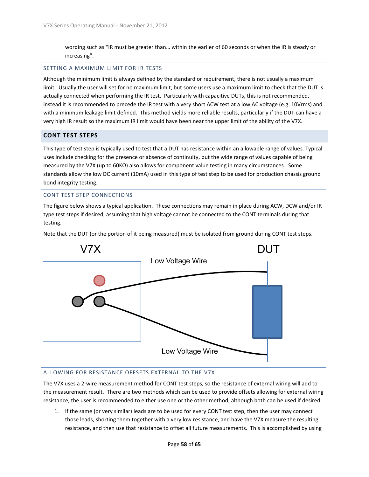wording such as "IR must be greater than… within the earlier of 60 seconds or when the IR is steady or increasing".

#### <span id="page-57-0"></span>SETTING A MAXIMUM LIMIT FOR IR TESTS

Although the minimum limit is always defined by the standard or requirement, there is not usually a maximum limit. Usually the user will set for no maximum limit, but some users use a maximum limit to check that the DUT is actually connected when performing the IR test. Particularly with capacitive DUTs, this is not recommended, instead it is recommended to precede the IR test with a very short ACW test at a low AC voltage (e.g. 10Vrms) and with a minimum leakage limit defined. This method yields more reliable results, particularly if the DUT can have a very high IR result so the maximum IR limit would have been near the upper limit of the ability of the V7X.

#### <span id="page-57-1"></span>**CONT TEST STEPS**

This type of test step is typically used to test that a DUT has resistance within an allowable range of values. Typical uses include checking for the presence or absence of continuity, but the wide range of values capable of being measured by the V7X (up to 60KΩ) also allows for component value testing in many circumstances. Some standards allow the low DC current (10mA) used in this type of test step to be used for production chassis ground bond integrity testing.

#### <span id="page-57-2"></span>CONT TEST STEP CONNECTIONS

The figure below shows a typical application. These connections may remain in place during ACW, DCW and/or IR type test steps if desired, assuming that high voltage cannot be connected to the CONT terminals during that testing.

Note that the DUT (or the portion of it being measured) must be isolated from ground during CONT test steps.



#### <span id="page-57-3"></span>ALLOWING FOR RESISTANCE OFFSETS EXTERNAL TO THE V7X

The V7X uses a 2-wire measurement method for CONT test steps, so the resistance of external wiring will add to the measurement result. There are two methods which can be used to provide offsets allowing for external wiring resistance, the user is recommended to either use one or the other method, although both can be used if desired.

1. If the same (or very similar) leads are to be used for every CONT test step, then the user may connect those leads, shorting them together with a very low resistance, and have the V7X measure the resulting resistance, and then use that resistance to offset all future measurements. This is accomplished by using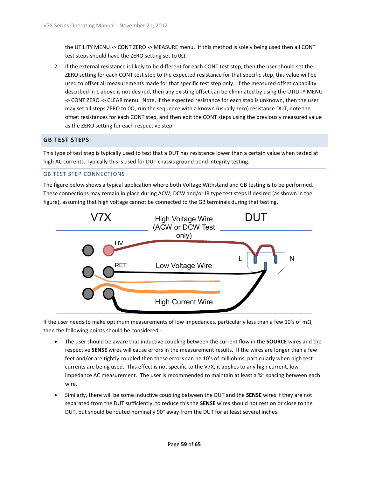the UTILITY MENU -> CONT ZERO -> MEASURE menu. If this method is solely being used then all CONT test steps should have the ZERO setting set to 0Ω.

2. If the external resistance is likely to be different for each CONT test step, then the user should set the ZERO setting for each CONT test step to the expected resistance for that specific step, this value will be used to offset all measurements made for that specific test step only. If the measured offset capability described in 1 above is not desired, then any existing offset can be eliminated by using the UTILITY MENU -> CONT ZERO -> CLEAR menu. Note, if the expected resistance for each step is unknown, then the user may set all steps ZERO to 0Ω, run the sequence with a known (usually zero) resistance DUT, note the offset resistances for each CONT step, and then edit the CONT steps using the previously measured value as the ZERO setting for each respective step.

#### <span id="page-58-0"></span>**GB TEST STEPS**

This type of test step is typically used to test that a DUT has resistance lower than a certain value when tested at high AC currents. Typically this is used for DUT chassis ground bond integrity testing.

#### <span id="page-58-1"></span>GB TEST STEP CONNECTIONS

The figure below shows a typical application where both Voltage Withstand and GB testing is to be performed. These connections may remain in place during ACW, DCW and/or IR type test steps if desired (as shown in the figure), assuming that high voltage cannot be connected to the GB terminals during that testing.



If the user needs to make optimum measurements of low impedances, particularly less than a few 10's of m $\Omega$ , then the following points should be considered -

- The user should be aware that inductive coupling between the current flow in the **SOURCE** wires and the respective **SENSE** wires will cause errors in the measurement results. If the wires are longer than a few feet and/or are tightly coupled then these errors can be 10's of milliohms, particularly when high test currents are being used. This effect is not specific to the V7X, it applies to any high current, low impedance AC measurement. The user is recommended to maintain at least a  $\frac{3}{4}$ " spacing between each wire.
- Similarly, there will be some inductive coupling between the DUT and the **SENSE** wires if they are not separated from the DUT sufficiently, to reduce this the **SENSE** wires should not rest on or close to the DUT, but should be routed nominally 90° away from the DUT for at least several inches.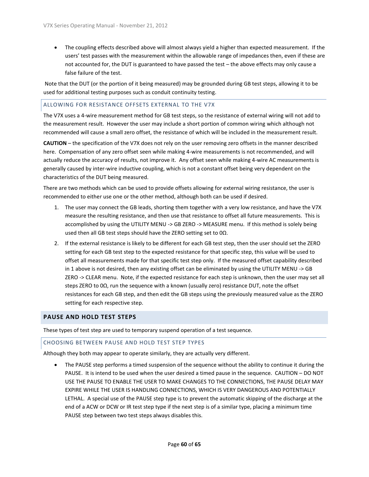The coupling effects described above will almost always yield a higher than expected measurement. If the users' test passes with the measurement within the allowable range of impedances then, even if these are not accounted for, the DUT is guaranteed to have passed the test – the above effects may only cause a false failure of the test.

Note that the DUT (or the portion of it being measured) may be grounded during GB test steps, allowing it to be used for additional testing purposes such as conduit continuity testing.

#### <span id="page-59-0"></span>ALLOWING FOR RESISTANCE OFFSETS EXTERNAL TO THE V7X

The V7X uses a 4-wire measurement method for GB test steps, so the resistance of external wiring will not add to the measurement result. However the user may include a short portion of common wiring which although not recommended will cause a small zero offset, the resistance of which will be included in the measurement result.

**CAUTION** – the specification of the V7X does not rely on the user removing zero offsets in the manner described here. Compensation of any zero offset seen while making 4-wire measurements is not recommended, and will actually reduce the accuracy of results, not improve it. Any offset seen while making 4-wire AC measurements is generally caused by inter-wire inductive coupling, which is not a constant offset being very dependent on the characteristics of the DUT being measured.

There are two methods which can be used to provide offsets allowing for external wiring resistance, the user is recommended to either use one or the other method, although both can be used if desired.

- 1. The user may connect the GB leads, shorting them together with a very low resistance, and have the V7X measure the resulting resistance, and then use that resistance to offset all future measurements. This is accomplished by using the UTILITY MENU -> GB ZERO -> MEASURE menu. If this method is solely being used then all GB test steps should have the ZERO setting set to 0Ω.
- 2. If the external resistance is likely to be different for each GB test step, then the user should set the ZERO setting for each GB test step to the expected resistance for that specific step, this value will be used to offset all measurements made for that specific test step only. If the measured offset capability described in 1 above is not desired, then any existing offset can be eliminated by using the UTILITY MENU -> GB ZERO -> CLEAR menu. Note, if the expected resistance for each step is unknown, then the user may set all steps ZERO to 0Ω, run the sequence with a known (usually zero) resistance DUT, note the offset resistances for each GB step, and then edit the GB steps using the previously measured value as the ZERO setting for each respective step.

#### <span id="page-59-1"></span>**PAUSE AND HOLD TEST STEPS**

These types of test step are used to temporary suspend operation of a test sequence.

#### <span id="page-59-2"></span>CHOOSING BETWEEN PAUSE AND HOLD TEST STEP TYPES

Although they both may appear to operate similarly, they are actually very different.

 The PAUSE step performs a timed suspension of the sequence without the ability to continue it during the PAUSE. It is intend to be used when the user desired a timed pause in the sequence. CAUTION – DO NOT USE THE PAUSE TO ENABLE THE USER TO MAKE CHANGES TO THE CONNECTIONS, THE PAUSE DELAY MAY EXPIRE WHILE THE USER IS HANDLING CONNECTIONS, WHICH IS VERY DANGEROUS AND POTENTIALLY LETHAL. A special use of the PAUSE step type is to prevent the automatic skipping of the discharge at the end of a ACW or DCW or IR test step type if the next step is of a similar type, placing a minimum time PAUSE step between two test steps always disables this.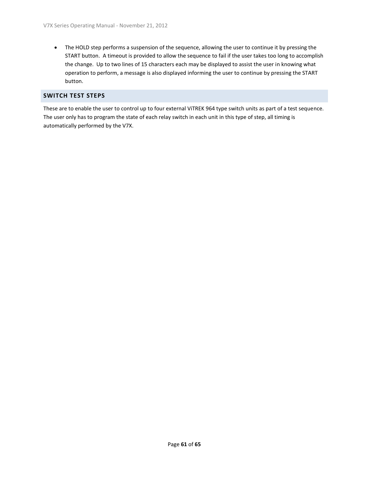• The HOLD step performs a suspension of the sequence, allowing the user to continue it by pressing the START button. A timeout is provided to allow the sequence to fail if the user takes too long to accomplish the change. Up to two lines of 15 characters each may be displayed to assist the user in knowing what operation to perform, a message is also displayed informing the user to continue by pressing the START button.

#### <span id="page-60-0"></span>**SWITCH TEST STEPS**

These are to enable the user to control up to four external ViTREK 964 type switch units as part of a test sequence. The user only has to program the state of each relay switch in each unit in this type of step, all timing is automatically performed by the V7X.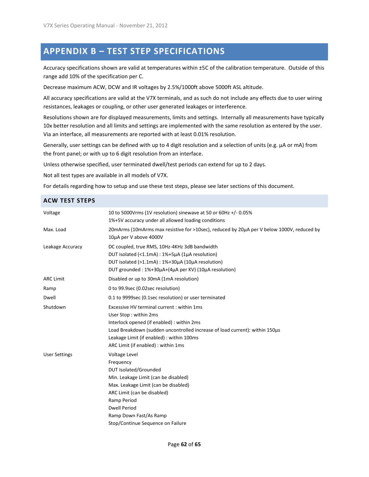## <span id="page-61-0"></span>**APPENDIX B – TEST STEP SPECIFICATIONS**

Accuracy specifications shown are valid at temperatures within ±5C of the calibration temperature. Outside of this range add 10% of the specification per C.

Decrease maximum ACW, DCW and IR voltages by 2.5%/1000ft above 5000ft ASL altitude.

All accuracy specifications are valid at the V7X terminals, and as such do not include any effects due to user wiring resistances, leakages or coupling, or other user generated leakages or interference.

Resolutions shown are for displayed measurements, limits and settings. Internally all measurements have typically 10x better resolution and all limits and settings are implemented with the same resolution as entered by the user. Via an interface, all measurements are reported with at least 0.01% resolution.

Generally, user settings can be defined with up to 4 digit resolution and a selection of units (e.g. µA or mA) from the front panel; or with up to 6 digit resolution from an interface.

Unless otherwise specified, user terminated dwell/test periods can extend for up to 2 days.

Not all test types are available in all models of V7X.

For details regarding how to setup and use these test steps, please see later sections of this document.

#### <span id="page-61-1"></span>**ACW TEST STEPS**

| Voltage              | 10 to 5000Vrms (1V resolution) sinewave at 50 or 60Hz +/-0.05%<br>1%+5V accuracy under all allowed loading conditions                                                                                                                                                                |
|----------------------|--------------------------------------------------------------------------------------------------------------------------------------------------------------------------------------------------------------------------------------------------------------------------------------|
| Max. Load            | 20mArms (10mArms max resistive for >10sec), reduced by 20μA per V below 1000V, reduced by<br>10µA per V above 4000V                                                                                                                                                                  |
| Leakage Accuracy     | DC coupled, true RMS, 10Hz-4KHz 3dB bandwidth<br>DUT isolated (<1.1mA) : 1%+5µA (1µA resolution)<br>DUT isolated (>1.1mA) : 1%+30µA (10µA resolution)<br>DUT grounded: 1%+30µA+(4µA per KV) (10µA resolution)                                                                        |
| <b>ARC Limit</b>     | Disabled or up to 30mA (1mA resolution)                                                                                                                                                                                                                                              |
| Ramp                 | 0 to 99.9sec (0.02sec resolution)                                                                                                                                                                                                                                                    |
| Dwell                | 0.1 to 9999sec (0.1sec resolution) or user terminated                                                                                                                                                                                                                                |
| Shutdown             | Excessive HV terminal current : within 1ms<br>User Stop: within 2ms<br>Interlock opened (if enabled) : within 2ms<br>Load Breakdown (sudden uncontrolled increase of load current): within 150µs<br>Leakage Limit (if enabled) : within 100ms<br>ARC Limit (if enabled) : within 1ms |
| <b>User Settings</b> | Voltage Level<br>Frequency<br><b>DUT Isolated/Grounded</b><br>Min. Leakage Limit (can be disabled)<br>Max. Leakage Limit (can be disabled)<br>ARC Limit (can be disabled)<br>Ramp Period<br><b>Dwell Period</b><br>Ramp Down Fast/As Ramp<br>Stop/Continue Sequence on Failure       |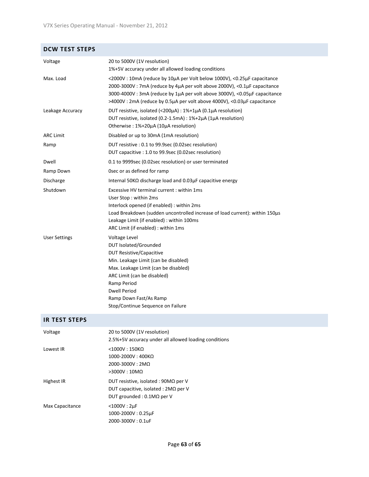#### <span id="page-62-0"></span>**DCW TEST STEPS**

| Voltage              | 20 to 5000V (1V resolution)<br>1%+5V accuracy under all allowed loading conditions                                                                                                                                                                                                                           |
|----------------------|--------------------------------------------------------------------------------------------------------------------------------------------------------------------------------------------------------------------------------------------------------------------------------------------------------------|
| Max. Load            | <2000V: 10mA (reduce by 10µA per Volt below 1000V), <0.25µF capacitance<br>2000-3000V: 7mA (reduce by 4μA per volt above 2000V), <0.1μF capacitance<br>3000-4000V : 3mA (reduce by 1µA per volt above 3000V), <0.05µF capacitance<br>>4000V: 2mA (reduce by 0.5µA per volt above 4000V), <0.03µF capacitance |
| Leakage Accuracy     | DUT resistive, isolated (<200μA) : 1%+1μA (0.1μA resolution)<br>DUT resistive, isolated (0.2-1.5mA) : 1%+2µA (1µA resolution)<br>Otherwise: 1%+20µA (10µA resolution)                                                                                                                                        |
| <b>ARC Limit</b>     | Disabled or up to 30mA (1mA resolution)                                                                                                                                                                                                                                                                      |
| Ramp                 | DUT resistive : 0.1 to 99.9sec (0.02sec resolution)<br>DUT capacitive : 1.0 to 99.9sec (0.02sec resolution)                                                                                                                                                                                                  |
| Dwell                | 0.1 to 9999sec (0.02sec resolution) or user terminated                                                                                                                                                                                                                                                       |
| Ramp Down            | Osec or as defined for ramp                                                                                                                                                                                                                                                                                  |
| Discharge            | Internal 50K $\Omega$ discharge load and 0.03 $\mu$ F capacitive energy                                                                                                                                                                                                                                      |
| Shutdown             | Excessive HV terminal current: within 1ms<br>User Stop: within 2ms<br>Interlock opened (if enabled) : within 2ms<br>Load Breakdown (sudden uncontrolled increase of load current): within 150µs<br>Leakage Limit (if enabled) : within 100ms<br>ARC Limit (if enabled) : within 1ms                          |
| <b>User Settings</b> | Voltage Level<br><b>DUT Isolated/Grounded</b><br><b>DUT Resistive/Capacitive</b><br>Min. Leakage Limit (can be disabled)<br>Max. Leakage Limit (can be disabled)<br>ARC Limit (can be disabled)<br>Ramp Period<br><b>Dwell Period</b><br>Ramp Down Fast/As Ramp<br>Stop/Continue Sequence on Failure         |

#### <span id="page-62-1"></span>**IR TEST STEPS**

| Voltage         | 20 to 5000V (1V resolution)<br>2.5%+5V accuracy under all allowed loading conditions                                          |
|-----------------|-------------------------------------------------------------------------------------------------------------------------------|
| Lowest IR       | $<$ 1000V : 150KQ<br>$1000 - 2000V : 400K\Omega$<br>$2000 - 3000V : 2MO$<br>$>3000V:10M\Omega$                                |
| Highest IR      | DUT resistive, isolated: $90M\Omega$ per V<br>DUT capacitive, isolated : $2M\Omega$ per V<br>DUT grounded: $0.1M\Omega$ per V |
| Max Capacitance | $<$ 1000V : 2µF<br>1000-2000V: 0.25µF<br>2000-3000V: 0.1uF                                                                    |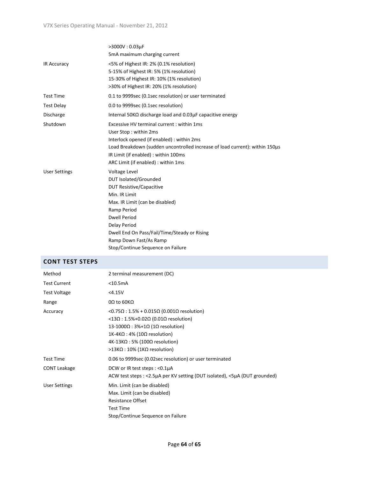|                      | >3000V: 0.03µF<br>5mA maximum charging current                                                                                                                                                                                                                                                     |
|----------------------|----------------------------------------------------------------------------------------------------------------------------------------------------------------------------------------------------------------------------------------------------------------------------------------------------|
| <b>IR Accuracy</b>   | <5% of Highest IR: 2% (0.1% resolution)<br>5-15% of Highest IR: 5% (1% resolution)<br>15-30% of Highest IR: 10% (1% resolution)<br>>30% of Highest IR: 20% (1% resolution)                                                                                                                         |
| <b>Test Time</b>     | 0.1 to 9999sec (0.1sec resolution) or user terminated                                                                                                                                                                                                                                              |
| <b>Test Delay</b>    | 0.0 to 9999sec (0.1sec resolution)                                                                                                                                                                                                                                                                 |
| Discharge            | Internal 50KQ discharge load and $0.03\mu$ F capacitive energy                                                                                                                                                                                                                                     |
| Shutdown             | Excessive HV terminal current: within 1ms<br>User Stop: within 2ms<br>Interlock opened (if enabled) : within 2ms<br>Load Breakdown (sudden uncontrolled increase of load current): within 150µs<br>IR Limit (if enabled) : within 100ms<br>ARC Limit (if enabled) : within 1ms                     |
| <b>User Settings</b> | Voltage Level<br>DUT Isolated/Grounded<br><b>DUT Resistive/Capacitive</b><br>Min. IR Limit<br>Max. IR Limit (can be disabled)<br>Ramp Period<br><b>Dwell Period</b><br>Delay Period<br>Dwell End On Pass/Fail/Time/Steady or Rising<br>Ramp Down Fast/As Ramp<br>Stop/Continue Sequence on Failure |

#### <span id="page-63-0"></span>**CONT TEST STEPS**

| Method               | 2 terminal measurement (DC)                                                                                                                                                                                                                            |
|----------------------|--------------------------------------------------------------------------------------------------------------------------------------------------------------------------------------------------------------------------------------------------------|
| <b>Test Current</b>  | $<$ 10.5mA                                                                                                                                                                                                                                             |
| <b>Test Voltage</b>  | < 4.15V                                                                                                                                                                                                                                                |
| Range                | 0Ω to 60KΩ                                                                                                                                                                                                                                             |
| Accuracy             | <0.75Ω : 1.5% + 0.015Ω (0.001Ω resolution)<br><13Ω : 1.5%+0.02Ω (0.01Ω resolution)<br>13-1000Ω : 3%+1Ω (1Ω resolution)<br>$1K-4K\Omega$ : 4% (10 $\Omega$ resolution)<br>$4K-13K\Omega$ : 5% (100 $\Omega$ resolution)<br>>13ΚΩ : 10% (1ΚΩ resolution) |
| <b>Test Time</b>     | 0.06 to 9999sec (0.02sec resolution) or user terminated                                                                                                                                                                                                |
| <b>CONT Leakage</b>  | DCW or IR test steps : <0.1µA<br>ACW test steps: <2.5µA per KV setting (DUT isolated), <5µA (DUT grounded)                                                                                                                                             |
| <b>User Settings</b> | Min. Limit (can be disabled)<br>Max. Limit (can be disabled)<br><b>Resistance Offset</b><br><b>Test Time</b><br>Stop/Continue Sequence on Failure                                                                                                      |